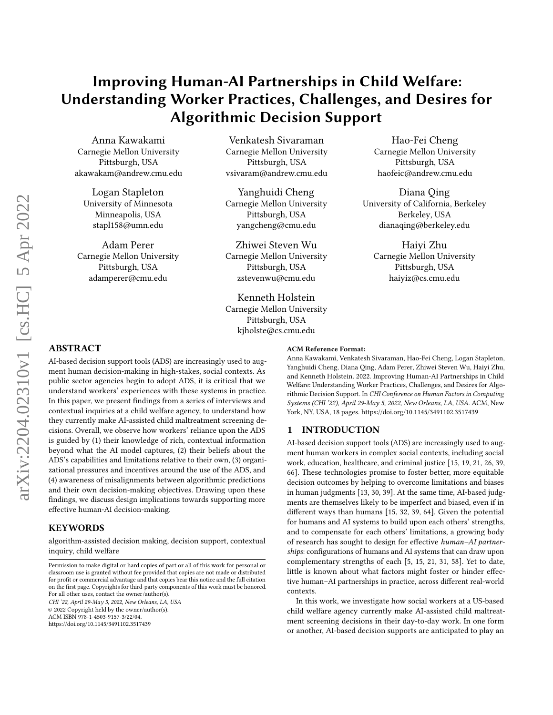# Improving Human-AI Partnerships in Child Welfare: Understanding Worker Practices, Challenges, and Desires for Algorithmic Decision Support

Anna Kawakami Carnegie Mellon University Pittsburgh, USA akawakam@andrew.cmu.edu

Logan Stapleton University of Minnesota Minneapolis, USA stapl158@umn.edu

Adam Perer Carnegie Mellon University Pittsburgh, USA adamperer@cmu.edu

Venkatesh Sivaraman Carnegie Mellon University Pittsburgh, USA vsivaram@andrew.cmu.edu

Yanghuidi Cheng Carnegie Mellon University Pittsburgh, USA yangcheng@cmu.edu

Zhiwei Steven Wu Carnegie Mellon University Pittsburgh, USA zstevenwu@cmu.edu

Kenneth Holstein Carnegie Mellon University Pittsburgh, USA kjholste@cs.cmu.edu

Hao-Fei Cheng Carnegie Mellon University Pittsburgh, USA haofeic@andrew.cmu.edu

Diana Qing University of California, Berkeley Berkeley, USA dianaqing@berkeley.edu

Haiyi Zhu Carnegie Mellon University Pittsburgh, USA haiyiz@cs.cmu.edu

# ABSTRACT

AI-based decision support tools (ADS) are increasingly used to augment human decision-making in high-stakes, social contexts. As public sector agencies begin to adopt ADS, it is critical that we understand workers' experiences with these systems in practice. In this paper, we present findings from a series of interviews and contextual inquiries at a child welfare agency, to understand how they currently make AI-assisted child maltreatment screening decisions. Overall, we observe how workers' reliance upon the ADS is guided by (1) their knowledge of rich, contextual information beyond what the AI model captures, (2) their beliefs about the ADS's capabilities and limitations relative to their own, (3) organizational pressures and incentives around the use of the ADS, and (4) awareness of misalignments between algorithmic predictions and their own decision-making objectives. Drawing upon these findings, we discuss design implications towards supporting more effective human-AI decision-making.

# **KEYWORDS**

algorithm-assisted decision making, decision support, contextual inquiry, child welfare

CHI '22, April 29-May 5, 2022, New Orleans, LA, USA © 2022 Copyright held by the owner/author(s).

ACM ISBN 978-1-4503-9157-3/22/04.

<https://doi.org/10.1145/3491102.3517439>

#### ACM Reference Format:

Anna Kawakami, Venkatesh Sivaraman, Hao-Fei Cheng, Logan Stapleton, Yanghuidi Cheng, Diana Qing, Adam Perer, Zhiwei Steven Wu, Haiyi Zhu, and Kenneth Holstein. 2022. Improving Human-AI Partnerships in Child Welfare: Understanding Worker Practices, Challenges, and Desires for Algorithmic Decision Support. In CHI Conference on Human Factors in Computing Systems (CHI '22), April 29-May 5, 2022, New Orleans, LA, USA. ACM, New York, NY, USA, [18](#page-17-0) pages.<https://doi.org/10.1145/3491102.3517439>

## 1 INTRODUCTION

AI-based decision support tools (ADS) are increasingly used to augment human workers in complex social contexts, including social work, education, healthcare, and criminal justice [\[15,](#page-16-0) [19,](#page-16-1) [21,](#page-16-2) [26,](#page-16-3) [39,](#page-16-4) [66\]](#page-17-1). These technologies promise to foster better, more equitable decision outcomes by helping to overcome limitations and biases in human judgments [\[13,](#page-15-0) [30,](#page-16-5) [39\]](#page-16-4). At the same time, AI-based judgments are themselves likely to be imperfect and biased, even if in different ways than humans [\[15,](#page-16-0) [32,](#page-16-6) [39,](#page-16-4) [64\]](#page-17-2). Given the potential for humans and AI systems to build upon each others' strengths, and to compensate for each others' limitations, a growing body of research has sought to design for effective human–AI partnerships: configurations of humans and AI systems that can draw upon complementary strengths of each [\[5,](#page-15-1) [15,](#page-16-0) [21,](#page-16-2) [31,](#page-16-7) [58\]](#page-16-8). Yet to date, little is known about what factors might foster or hinder effective human–AI partnerships in practice, across different real-world contexts.

In this work, we investigate how social workers at a US-based child welfare agency currently make AI-assisted child maltreatment screening decisions in their day-to-day work. In one form or another, AI-based decision supports are anticipated to play an

Permission to make digital or hard copies of part or all of this work for personal or classroom use is granted without fee provided that copies are not made or distributed for profit or commercial advantage and that copies bear this notice and the full citation on the first page. Copyrights for third-party components of this work must be honored. For all other uses, contact the owner/author(s).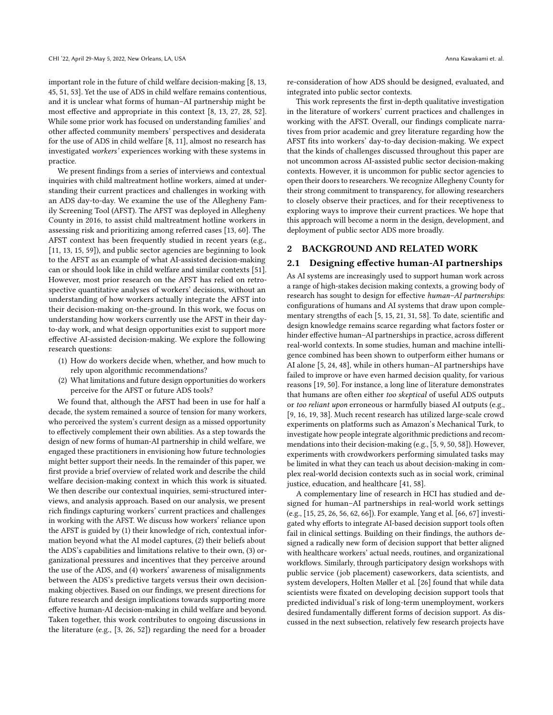important role in the future of child welfare decision-making [\[8,](#page-15-2) [13,](#page-15-0) [45,](#page-16-9) [51,](#page-16-10) [53\]](#page-16-11). Yet the use of ADS in child welfare remains contentious, and it is unclear what forms of human–AI partnership might be most effective and appropriate in this context [\[8,](#page-15-2) [13,](#page-15-0) [27,](#page-16-12) [28,](#page-16-13) [52\]](#page-16-14). While some prior work has focused on understanding families' and other affected community members' perspectives and desiderata for the use of ADS in child welfare [\[8,](#page-15-2) [11\]](#page-15-3), almost no research has investigated workers' experiences working with these systems in practice.

We present findings from a series of interviews and contextual inquiries with child maltreatment hotline workers, aimed at understanding their current practices and challenges in working with an ADS day-to-day. We examine the use of the Allegheny Family Screening Tool (AFST). The AFST was deployed in Allegheny County in 2016, to assist child maltreatment hotline workers in assessing risk and prioritizing among referred cases [\[13,](#page-15-0) [60\]](#page-16-15). The AFST context has been frequently studied in recent years (e.g., [\[11,](#page-15-3) [13,](#page-15-0) [15,](#page-16-0) [59\]](#page-16-16)), and public sector agencies are beginning to look to the AFST as an example of what AI-assisted decision-making can or should look like in child welfare and similar contexts [\[51\]](#page-16-10). However, most prior research on the AFST has relied on retrospective quantitative analyses of workers' decisions, without an understanding of how workers actually integrate the AFST into their decision-making on-the-ground. In this work, we focus on understanding how workers currently use the AFST in their dayto-day work, and what design opportunities exist to support more effective AI-assisted decision-making. We explore the following research questions:

- (1) How do workers decide when, whether, and how much to rely upon algorithmic recommendations?
- (2) What limitations and future design opportunities do workers perceive for the AFST or future ADS tools?

We found that, although the AFST had been in use for half a decade, the system remained a source of tension for many workers, who perceived the system's current design as a missed opportunity to effectively complement their own abilities. As a step towards the design of new forms of human-AI partnership in child welfare, we engaged these practitioners in envisioning how future technologies might better support their needs. In the remainder of this paper, we first provide a brief overview of related work and describe the child welfare decision-making context in which this work is situated. We then describe our contextual inquiries, semi-structured interviews, and analysis approach. Based on our analysis, we present rich findings capturing workers' current practices and challenges in working with the AFST. We discuss how workers' reliance upon the AFST is guided by (1) their knowledge of rich, contextual information beyond what the AI model captures, (2) their beliefs about the ADS's capabilities and limitations relative to their own, (3) organizational pressures and incentives that they perceive around the use of the ADS, and (4) workers' awareness of misalignments between the ADS's predictive targets versus their own decisionmaking objectives. Based on our findings, we present directions for future research and design implications towards supporting more effective human-AI decision-making in child welfare and beyond. Taken together, this work contributes to ongoing discussions in the literature (e.g., [\[3,](#page-15-4) [26,](#page-16-3) [52\]](#page-16-14)) regarding the need for a broader

re-consideration of how ADS should be designed, evaluated, and integrated into public sector contexts.

This work represents the first in-depth qualitative investigation in the literature of workers' current practices and challenges in working with the AFST. Overall, our findings complicate narratives from prior academic and grey literature regarding how the AFST fits into workers' day-to-day decision-making. We expect that the kinds of challenges discussed throughout this paper are not uncommon across AI-assisted public sector decision-making contexts. However, it is uncommon for public sector agencies to open their doors to researchers. We recognize Allegheny County for their strong commitment to transparency, for allowing researchers to closely observe their practices, and for their receptiveness to exploring ways to improve their current practices. We hope that this approach will become a norm in the design, development, and deployment of public sector ADS more broadly.

#### 2 BACKGROUND AND RELATED WORK

#### 2.1 Designing effective human-AI partnerships

As AI systems are increasingly used to support human work across a range of high-stakes decision making contexts, a growing body of research has sought to design for effective human–AI partnerships: configurations of humans and AI systems that draw upon complementary strengths of each [\[5,](#page-15-1) [15,](#page-16-0) [21,](#page-16-2) [31,](#page-16-7) [58\]](#page-16-8). To date, scientific and design knowledge remains scarce regarding what factors foster or hinder effective human–AI partnerships in practice, across different real-world contexts. In some studies, human and machine intelligence combined has been shown to outperform either humans or AI alone [\[5,](#page-15-1) [24,](#page-16-17) [48\]](#page-16-18), while in others human–AI partnerships have failed to improve or have even harmed decision quality, for various reasons [\[19,](#page-16-1) [50\]](#page-16-19). For instance, a long line of literature demonstrates that humans are often either too skeptical of useful ADS outputs or too reliant upon erroneous or harmfully biased AI outputs (e.g., [\[9,](#page-15-5) [16,](#page-16-20) [19,](#page-16-1) [38\]](#page-16-21). Much recent research has utilized large-scale crowd experiments on platforms such as Amazon's Mechanical Turk, to investigate how people integrate algorithmic predictions and recommendations into their decision-making (e.g., [\[5,](#page-15-1) [9,](#page-15-5) [50,](#page-16-19) [58\]](#page-16-8)). However, experiments with crowdworkers performing simulated tasks may be limited in what they can teach us about decision-making in complex real-world decision contexts such as in social work, criminal justice, education, and healthcare [\[41,](#page-16-22) [58\]](#page-16-8).

A complementary line of research in HCI has studied and designed for human–AI partnerships in real-world work settings (e.g., [\[15,](#page-16-0) [25,](#page-16-23) [26,](#page-16-3) [56,](#page-16-24) [62,](#page-16-25) [66\]](#page-17-1)). For example, Yang et al. [\[66,](#page-17-1) [67\]](#page-17-3) investigated why efforts to integrate AI-based decision support tools often fail in clinical settings. Building on their findings, the authors designed a radically new form of decision support that better aligned with healthcare workers' actual needs, routines, and organizational workflows. Similarly, through participatory design workshops with public service (job placement) caseworkers, data scientists, and system developers, Holten Møller et al. [\[26\]](#page-16-3) found that while data scientists were fixated on developing decision support tools that predicted individual's risk of long-term unemployment, workers desired fundamentally different forms of decision support. As discussed in the next subsection, relatively few research projects have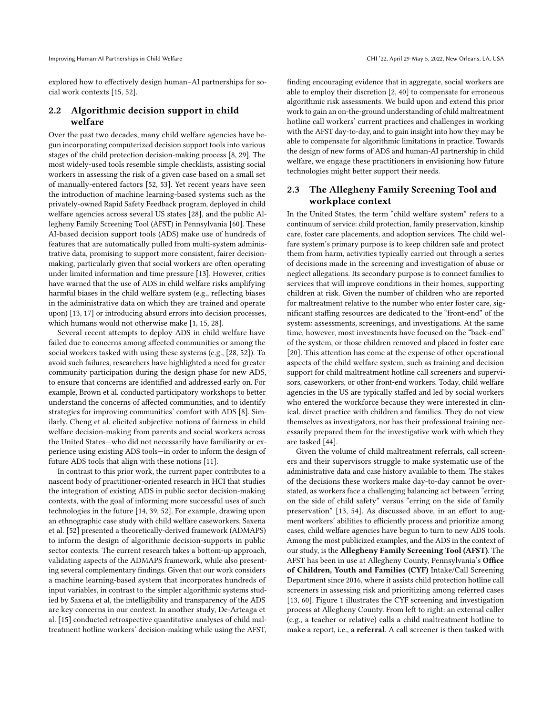Improving Human-AI Partnerships in Child Welfare CHI '22, April 29-May 5, 2022, New Orleans, LA, USA

explored how to effectively design human–AI partnerships for social work contexts [\[15,](#page-16-0) [52\]](#page-16-14).

## 2.2 Algorithmic decision support in child welfare

Over the past two decades, many child welfare agencies have begun incorporating computerized decision support tools into various stages of the child protection decision-making process [\[8,](#page-15-2) [29\]](#page-16-26). The most widely-used tools resemble simple checklists, assisting social workers in assessing the risk of a given case based on a small set of manually-entered factors [\[52,](#page-16-14) [53\]](#page-16-11). Yet recent years have seen the introduction of machine learning-based systems such as the privately-owned Rapid Safety Feedback program, deployed in child welfare agencies across several US states [\[28\]](#page-16-13), and the public Allegheny Family Screening Tool (AFST) in Pennsylvania [\[60\]](#page-16-15). These AI-based decision support tools (ADS) make use of hundreds of features that are automatically pulled from multi-system administrative data, promising to support more consistent, fairer decisionmaking, particularly given that social workers are often operating under limited information and time pressure [\[13\]](#page-15-0). However, critics have warned that the use of ADS in child welfare risks amplifying harmful biases in the child welfare system (e.g., reflecting biases in the administrative data on which they are trained and operate upon) [\[13,](#page-15-0) [17\]](#page-16-27) or introducing absurd errors into decision processes, which humans would not otherwise make [\[1,](#page-15-6) [15,](#page-16-0) [28\]](#page-16-13).

Several recent attempts to deploy ADS in child welfare have failed due to concerns among affected communities or among the social workers tasked with using these systems (e.g., [\[28,](#page-16-13) [52\]](#page-16-14)). To avoid such failures, researchers have highlighted a need for greater community participation during the design phase for new ADS, to ensure that concerns are identified and addressed early on. For example, Brown et al. conducted participatory workshops to better understand the concerns of affected communities, and to identify strategies for improving communities' comfort with ADS [\[8\]](#page-15-2). Similarly, Cheng et al. elicited subjective notions of fairness in child welfare decision-making from parents and social workers across the United States—who did not necessarily have familiarity or experience using existing ADS tools—in order to inform the design of future ADS tools that align with these notions [\[11\]](#page-15-3).

In contrast to this prior work, the current paper contributes to a nascent body of practitioner-oriented research in HCI that studies the integration of existing ADS in public sector decision-making contexts, with the goal of informing more successful uses of such technologies in the future [\[14,](#page-16-28) [39,](#page-16-4) [52\]](#page-16-14). For example, drawing upon an ethnographic case study with child welfare caseworkers, Saxena et al. [\[52\]](#page-16-14) presented a theoretically-derived framework (ADMAPS) to inform the design of algorithmic decision-supports in public sector contexts. The current research takes a bottom-up approach, validating aspects of the ADMAPS framework, while also presenting several complementary findings. Given that our work considers a machine learning-based system that incorporates hundreds of input variables, in contrast to the simpler algorithmic systems studied by Saxena et al, the intelligibility and transparency of the ADS are key concerns in our context. In another study, De-Arteaga et al. [\[15\]](#page-16-0) conducted retrospective quantitative analyses of child maltreatment hotline workers' decision-making while using the AFST,

finding encouraging evidence that in aggregate, social workers are able to employ their discretion [\[2,](#page-15-7) [40\]](#page-16-29) to compensate for erroneous algorithmic risk assessments. We build upon and extend this prior work to gain an on-the-ground understanding of child maltreatment hotline call workers' current practices and challenges in working with the AFST day-to-day, and to gain insight into how they may be able to compensate for algorithmic limitations in practice. Towards the design of new forms of ADS and human-AI partnership in child welfare, we engage these practitioners in envisioning how future technologies might better support their needs.

# 2.3 The Allegheny Family Screening Tool and workplace context

In the United States, the term "child welfare system" refers to a continuum of service: child protection, family preservation, kinship care, foster care placements, and adoption services. The child welfare system's primary purpose is to keep children safe and protect them from harm, activities typically carried out through a series of decisions made in the screening and investigation of abuse or neglect allegations. Its secondary purpose is to connect families to services that will improve conditions in their homes, supporting children at risk. Given the number of children who are reported for maltreatment relative to the number who enter foster care, significant staffing resources are dedicated to the "front-end" of the system: assessments, screenings, and investigations. At the same time, however, most investments have focused on the "back-end" of the system, or those children removed and placed in foster care [\[20\]](#page-16-30). This attention has come at the expense of other operational aspects of the child welfare system, such as training and decision support for child maltreatment hotline call screeners and supervisors, caseworkers, or other front-end workers. Today, child welfare agencies in the US are typically staffed and led by social workers who entered the workforce because they were interested in clinical, direct practice with children and families. They do not view themselves as investigators, nor has their professional training necessarily prepared them for the investigative work with which they are tasked [\[44\]](#page-16-31).

Given the volume of child maltreatment referrals, call screeners and their supervisors struggle to make systematic use of the administrative data and case history available to them. The stakes of the decisions these workers make day-to-day cannot be overstated, as workers face a challenging balancing act between "erring on the side of child safety" versus "erring on the side of family preservation" [\[13,](#page-15-0) [54\]](#page-16-32). As discussed above, in an effort to augment workers' abilities to efficiently process and prioritize among cases, child welfare agencies have begun to turn to new ADS tools. Among the most publicized examples, and the ADS in the context of our study, is the Allegheny Family Screening Tool (AFST). The AFST has been in use at Allegheny County, Pennsylvania's Office of Children, Youth and Families (CYF) Intake/Call Screening Department since 2016, where it assists child protection hotline call screeners in assessing risk and prioritizing among referred cases [\[13,](#page-15-0) [60\]](#page-16-15). Figure [1](#page-4-0) illustrates the CYF screening and investigation process at Allegheny County. From left to right: an external caller (e.g., a teacher or relative) calls a child maltreatment hotline to make a report, i.e., a referral. A call screener is then tasked with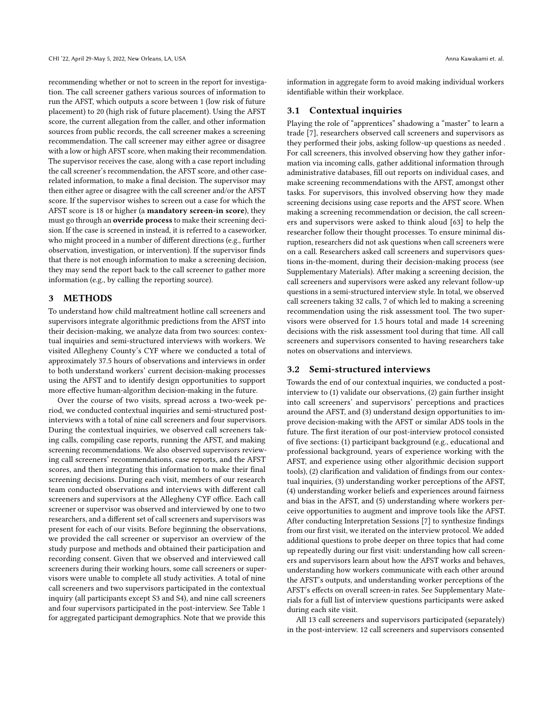recommending whether or not to screen in the report for investigation. The call screener gathers various sources of information to run the AFST, which outputs a score between 1 (low risk of future placement) to 20 (high risk of future placement). Using the AFST score, the current allegation from the caller, and other information sources from public records, the call screener makes a screening recommendation. The call screener may either agree or disagree with a low or high AFST score, when making their recommendation. The supervisor receives the case, along with a case report including the call screener's recommendation, the AFST score, and other caserelated information, to make a final decision. The supervisor may then either agree or disagree with the call screener and/or the AFST score. If the supervisor wishes to screen out a case for which the AFST score is 18 or higher (a mandatory screen-in score), they must go through an override process to make their screening decision. If the case is screened in instead, it is referred to a caseworker, who might proceed in a number of different directions (e.g., further observation, investigation, or intervention). If the supervisor finds that there is not enough information to make a screening decision, they may send the report back to the call screener to gather more information (e.g., by calling the reporting source).

## 3 METHODS

To understand how child maltreatment hotline call screeners and supervisors integrate algorithmic predictions from the AFST into their decision-making, we analyze data from two sources: contextual inquiries and semi-structured interviews with workers. We visited Allegheny County's CYF where we conducted a total of approximately 37.5 hours of observations and interviews in order to both understand workers' current decision-making processes using the AFST and to identify design opportunities to support more effective human-algorithm decision-making in the future.

Over the course of two visits, spread across a two-week period, we conducted contextual inquiries and semi-structured postinterviews with a total of nine call screeners and four supervisors. During the contextual inquiries, we observed call screeners taking calls, compiling case reports, running the AFST, and making screening recommendations. We also observed supervisors reviewing call screeners' recommendations, case reports, and the AFST scores, and then integrating this information to make their final screening decisions. During each visit, members of our research team conducted observations and interviews with different call screeners and supervisors at the Allegheny CYF office. Each call screener or supervisor was observed and interviewed by one to two researchers, and a different set of call screeners and supervisors was present for each of our visits. Before beginning the observations, we provided the call screener or supervisor an overview of the study purpose and methods and obtained their participation and recording consent. Given that we observed and interviewed call screeners during their working hours, some call screeners or supervisors were unable to complete all study activities. A total of nine call screeners and two supervisors participated in the contextual inquiry (all participants except S3 and S4), and nine call screeners and four supervisors participated in the post-interview. See Table [1](#page-6-0) for aggregated participant demographics. Note that we provide this

information in aggregate form to avoid making individual workers identifiable within their workplace.

#### 3.1 Contextual inquiries

Playing the role of "apprentices" shadowing a "master" to learn a trade [\[7\]](#page-15-8), researchers observed call screeners and supervisors as they performed their jobs, asking follow-up questions as needed . For call screeners, this involved observing how they gather information via incoming calls, gather additional information through administrative databases, fill out reports on individual cases, and make screening recommendations with the AFST, amongst other tasks. For supervisors, this involved observing how they made screening decisions using case reports and the AFST score. When making a screening recommendation or decision, the call screeners and supervisors were asked to think aloud [\[63\]](#page-17-4) to help the researcher follow their thought processes. To ensure minimal disruption, researchers did not ask questions when call screeners were on a call. Researchers asked call screeners and supervisors questions in-the-moment, during their decision-making process (see Supplementary Materials). After making a screening decision, the call screeners and supervisors were asked any relevant follow-up questions in a semi-structured interview style. In total, we observed call screeners taking 32 calls, 7 of which led to making a screening recommendation using the risk assessment tool. The two supervisors were observed for 1.5 hours total and made 14 screening decisions with the risk assessment tool during that time. All call screeners and supervisors consented to having researchers take notes on observations and interviews.

#### 3.2 Semi-structured interviews

Towards the end of our contextual inquiries, we conducted a postinterview to (1) validate our observations, (2) gain further insight into call screeners' and supervisors' perceptions and practices around the AFST, and (3) understand design opportunities to improve decision-making with the AFST or similar ADS tools in the future. The first iteration of our post-interview protocol consisted of five sections: (1) participant background (e.g., educational and professional background, years of experience working with the AFST, and experience using other algorithmic decision support tools), (2) clarification and validation of findings from our contextual inquiries, (3) understanding worker perceptions of the AFST, (4) understanding worker beliefs and experiences around fairness and bias in the AFST, and (5) understanding where workers perceive opportunities to augment and improve tools like the AFST. After conducting Interpretation Sessions [\[7\]](#page-15-8) to synthesize findings from our first visit, we iterated on the interview protocol. We added additional questions to probe deeper on three topics that had come up repeatedly during our first visit: understanding how call screeners and supervisors learn about how the AFST works and behaves, understanding how workers communicate with each other around the AFST's outputs, and understanding worker perceptions of the AFST's effects on overall screen-in rates. See Supplementary Materials for a full list of interview questions participants were asked during each site visit.

All 13 call screeners and supervisors participated (separately) in the post-interview. 12 call screeners and supervisors consented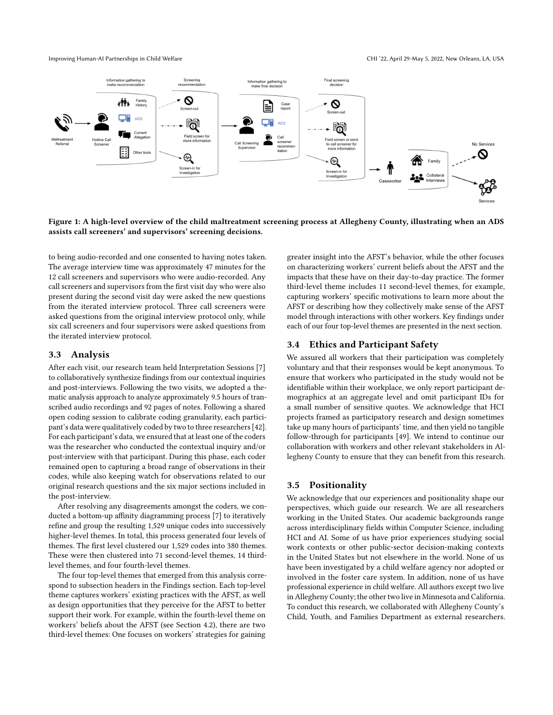<span id="page-4-0"></span>

Figure 1: A high-level overview of the child maltreatment screening process at Allegheny County, illustrating when an ADS assists call screeners' and supervisors' screening decisions.

to being audio-recorded and one consented to having notes taken. The average interview time was approximately 47 minutes for the 12 call screeners and supervisors who were audio-recorded. Any call screeners and supervisors from the first visit day who were also present during the second visit day were asked the new questions from the iterated interview protocol. Three call screeners were asked questions from the original interview protocol only, while six call screeners and four supervisors were asked questions from the iterated interview protocol.

#### 3.3 Analysis

After each visit, our research team held Interpretation Sessions [\[7\]](#page-15-8) to collaboratively synthesize findings from our contextual inquiries and post-interviews. Following the two visits, we adopted a thematic analysis approach to analyze approximately 9.5 hours of transcribed audio recordings and 92 pages of notes. Following a shared open coding session to calibrate coding granularity, each participant's data were qualitatively coded by two to three researchers [\[42\]](#page-16-33). For each participant's data, we ensured that at least one of the coders was the researcher who conducted the contextual inquiry and/or post-interview with that participant. During this phase, each coder remained open to capturing a broad range of observations in their codes, while also keeping watch for observations related to our original research questions and the six major sections included in the post-interview.

After resolving any disagreements amongst the coders, we conducted a bottom-up affinity diagramming process [\[7\]](#page-15-8) to iteratively refine and group the resulting 1,529 unique codes into successively higher-level themes. In total, this process generated four levels of themes. The first level clustered our 1,529 codes into 380 themes. These were then clustered into 71 second-level themes, 14 thirdlevel themes, and four fourth-level themes.

The four top-level themes that emerged from this analysis correspond to subsection headers in the Findings section. Each top-level theme captures workers' existing practices with the AFST, as well as design opportunities that they perceive for the AFST to better support their work. For example, within the fourth-level theme on workers' beliefs about the AFST (see Section [4.2\)](#page-6-1), there are two third-level themes: One focuses on workers' strategies for gaining

greater insight into the AFST's behavior, while the other focuses on characterizing workers' current beliefs about the AFST and the impacts that these have on their day-to-day practice. The former third-level theme includes 11 second-level themes, for example, capturing workers' specific motivations to learn more about the AFST or describing how they collectively make sense of the AFST model through interactions with other workers. Key findings under each of our four top-level themes are presented in the next section.

#### 3.4 Ethics and Participant Safety

We assured all workers that their participation was completely voluntary and that their responses would be kept anonymous. To ensure that workers who participated in the study would not be identifiable within their workplace, we only report participant demographics at an aggregate level and omit participant IDs for a small number of sensitive quotes. We acknowledge that HCI projects framed as participatory research and design sometimes take up many hours of participants' time, and then yield no tangible follow-through for participants [\[49\]](#page-16-34). We intend to continue our collaboration with workers and other relevant stakeholders in Allegheny County to ensure that they can benefit from this research.

## 3.5 Positionality

We acknowledge that our experiences and positionality shape our perspectives, which guide our research. We are all researchers working in the United States. Our academic backgrounds range across interdisciplinary fields within Computer Science, including HCI and AI. Some of us have prior experiences studying social work contexts or other public-sector decision-making contexts in the United States but not elsewhere in the world. None of us have been investigated by a child welfare agency nor adopted or involved in the foster care system. In addition, none of us have professional experience in child welfare. All authors except two live in Allegheny County; the other two live in Minnesota and California. To conduct this research, we collaborated with Allegheny County's Child, Youth, and Families Department as external researchers.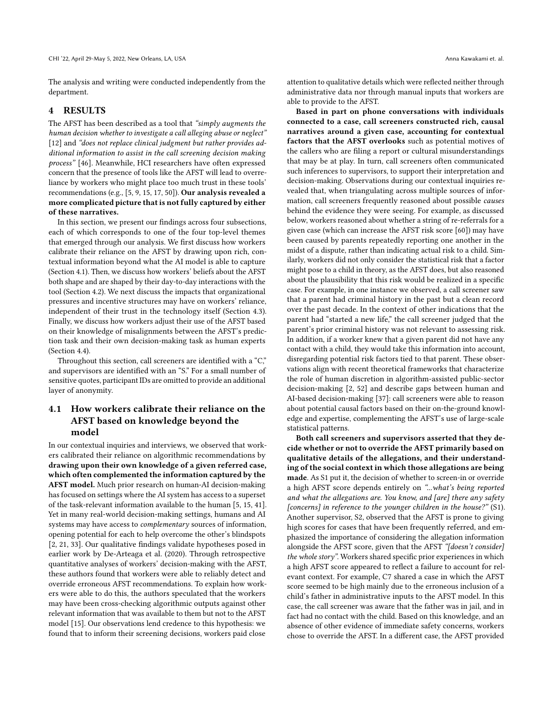The analysis and writing were conducted independently from the department.

## 4 RESULTS

The AFST has been described as a tool that "simply augments the human decision whether to investigate a call alleging abuse or neglect" [\[12\]](#page-15-9) and "does not replace clinical judgment but rather provides additional information to assist in the call screening decision making process" [\[46\]](#page-16-35). Meanwhile, HCI researchers have often expressed concern that the presence of tools like the AFST will lead to overreliance by workers who might place too much trust in these tools' recommendations (e.g., [\[5,](#page-15-1) [9,](#page-15-5) [15,](#page-16-0) [17,](#page-16-27) [50\]](#page-16-19)). Our analysis revealed a more complicated picture that is not fully captured by either of these narratives.

In this section, we present our findings across four subsections, each of which corresponds to one of the four top-level themes that emerged through our analysis. We first discuss how workers calibrate their reliance on the AFST by drawing upon rich, contextual information beyond what the AI model is able to capture (Section [4.1\)](#page-5-0). Then, we discuss how workers' beliefs about the AFST both shape and are shaped by their day-to-day interactions with the tool (Section [4.2\)](#page-6-1). We next discuss the impacts that organizational pressures and incentive structures may have on workers' reliance, independent of their trust in the technology itself (Section [4.3\)](#page-9-0). Finally, we discuss how workers adjust their use of the AFST based on their knowledge of misalignments between the AFST's prediction task and their own decision-making task as human experts (Section [4.4\)](#page-11-0).

Throughout this section, call screeners are identified with a "C," and supervisors are identified with an "S." For a small number of sensitive quotes, participant IDs are omitted to provide an additional layer of anonymity.

# <span id="page-5-0"></span>4.1 How workers calibrate their reliance on the AFST based on knowledge beyond the model

In our contextual inquiries and interviews, we observed that workers calibrated their reliance on algorithmic recommendations by drawing upon their own knowledge of a given referred case, which often complemented the information captured by the AFST model. Much prior research on human-AI decision-making has focused on settings where the AI system has access to a superset of the task-relevant information available to the human [\[5,](#page-15-1) [15,](#page-16-0) [41\]](#page-16-22). Yet in many real-world decision-making settings, humans and AI systems may have access to complementary sources of information, opening potential for each to help overcome the other's blindspots [\[2,](#page-15-7) [21,](#page-16-2) [33\]](#page-16-36). Our qualitative findings validate hypotheses posed in earlier work by De-Arteaga et al. (2020). Through retrospective quantitative analyses of workers' decision-making with the AFST, these authors found that workers were able to reliably detect and override erroneous AFST recommendations. To explain how workers were able to do this, the authors speculated that the workers may have been cross-checking algorithmic outputs against other relevant information that was available to them but not to the AFST model [\[15\]](#page-16-0). Our observations lend credence to this hypothesis: we found that to inform their screening decisions, workers paid close

attention to qualitative details which were reflected neither through administrative data nor through manual inputs that workers are able to provide to the AFST.

Based in part on phone conversations with individuals connected to a case, call screeners constructed rich, causal narratives around a given case, accounting for contextual factors that the AFST overlooks such as potential motives of the callers who are filing a report or cultural misunderstandings that may be at play. In turn, call screeners often communicated such inferences to supervisors, to support their interpretation and decision-making. Observations during our contextual inquiries revealed that, when triangulating across multiple sources of information, call screeners frequently reasoned about possible causes behind the evidence they were seeing. For example, as discussed below, workers reasoned about whether a string of re-referrals for a given case (which can increase the AFST risk score [\[60\]](#page-16-15)) may have been caused by parents repeatedly reporting one another in the midst of a dispute, rather than indicating actual risk to a child. Similarly, workers did not only consider the statistical risk that a factor might pose to a child in theory, as the AFST does, but also reasoned about the plausibility that this risk would be realized in a specific case. For example, in one instance we observed, a call screener saw that a parent had criminal history in the past but a clean record over the past decade. In the context of other indications that the parent had "started a new life," the call screener judged that the parent's prior criminal history was not relevant to assessing risk. In addition, if a worker knew that a given parent did not have any contact with a child, they would take this information into account, disregarding potential risk factors tied to that parent. These observations align with recent theoretical frameworks that characterize the role of human discretion in algorithm-assisted public-sector decision-making [\[2,](#page-15-7) [52\]](#page-16-14) and describe gaps between human and AI-based decision-making [\[37\]](#page-16-37): call screeners were able to reason about potential causal factors based on their on-the-ground knowledge and expertise, complementing the AFST's use of large-scale statistical patterns.

Both call screeners and supervisors asserted that they decide whether or not to override the AFST primarily based on qualitative details of the allegations, and their understanding of the social context in which those allegations are being made. As S1 put it, the decision of whether to screen-in or override a high AFST score depends entirely on "...what's being reported and what the allegations are. You know, and [are] there any safety [concerns] in reference to the younger children in the house?" (S1). Another supervisor, S2, observed that the AFST is prone to giving high scores for cases that have been frequently referred, and emphasized the importance of considering the allegation information alongside the AFST score, given that the AFST "[doesn't consider] the whole story". Workers shared specific prior experiences in which a high AFST score appeared to reflect a failure to account for relevant context. For example, C7 shared a case in which the AFST score seemed to be high mainly due to the erroneous inclusion of a child's father in administrative inputs to the AFST model. In this case, the call screener was aware that the father was in jail, and in fact had no contact with the child. Based on this knowledge, and an absence of other evidence of immediate safety concerns, workers chose to override the AFST. In a different case, the AFST provided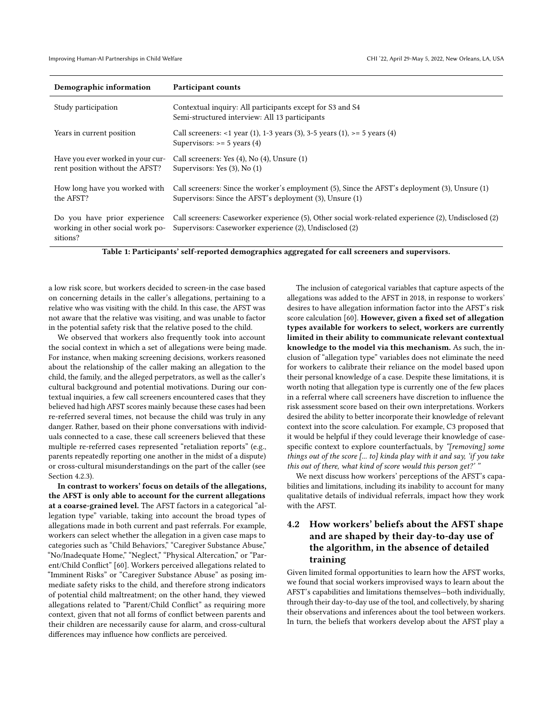<span id="page-6-0"></span>

| Demographic information                                                      | Participant counts                                                                                                                                              |
|------------------------------------------------------------------------------|-----------------------------------------------------------------------------------------------------------------------------------------------------------------|
| Study participation                                                          | Contextual inquiry: All participants except for S3 and S4<br>Semi-structured interview: All 13 participants                                                     |
| Years in current position                                                    | Call screeners: <1 year (1), 1-3 years (3), 3-5 years (1), >= 5 years (4)<br>Supervisors: $>= 5$ years (4)                                                      |
| Have you ever worked in your cur-<br>rent position without the AFST?         | Call screeners: Yes (4), No (4), Unsure (1)<br>Supervisors: Yes $(3)$ , No $(1)$                                                                                |
| How long have you worked with<br>the AFST?                                   | Call screeners: Since the worker's employment (5), Since the AFST's deployment (3), Unsure (1)<br>Supervisors: Since the AFST's deployment (3), Unsure (1)      |
| Do you have prior experience<br>working in other social work po-<br>sitions? | Call screeners: Caseworker experience (5), Other social work-related experience (2), Undisclosed (2)<br>Supervisors: Caseworker experience (2), Undisclosed (2) |

Table 1: Participants' self-reported demographics aggregated for call screeners and supervisors.

a low risk score, but workers decided to screen-in the case based on concerning details in the caller's allegations, pertaining to a relative who was visiting with the child. In this case, the AFST was not aware that the relative was visiting, and was unable to factor in the potential safety risk that the relative posed to the child.

We observed that workers also frequently took into account the social context in which a set of allegations were being made. For instance, when making screening decisions, workers reasoned about the relationship of the caller making an allegation to the child, the family, and the alleged perpetrators, as well as the caller's cultural background and potential motivations. During our contextual inquiries, a few call screeners encountered cases that they believed had high AFST scores mainly because these cases had been re-referred several times, not because the child was truly in any danger. Rather, based on their phone conversations with individuals connected to a case, these call screeners believed that these multiple re-referred cases represented "retaliation reports" (e.g., parents repeatedly reporting one another in the midst of a dispute) or cross-cultural misunderstandings on the part of the caller (see Section [4.2.3\)](#page-8-0).

In contrast to workers' focus on details of the allegations, the AFST is only able to account for the current allegations at a coarse-grained level. The AFST factors in a categorical "allegation type" variable, taking into account the broad types of allegations made in both current and past referrals. For example, workers can select whether the allegation in a given case maps to categories such as "Child Behaviors," "Caregiver Substance Abuse," "No/Inadequate Home," "Neglect," "Physical Altercation," or "Parent/Child Conflict" [\[60\]](#page-16-15). Workers perceived allegations related to "Imminent Risks" or "Caregiver Substance Abuse" as posing immediate safety risks to the child, and therefore strong indicators of potential child maltreatment; on the other hand, they viewed allegations related to "Parent/Child Conflict" as requiring more context, given that not all forms of conflict between parents and their children are necessarily cause for alarm, and cross-cultural differences may influence how conflicts are perceived.

The inclusion of categorical variables that capture aspects of the allegations was added to the AFST in 2018, in response to workers' desires to have allegation information factor into the AFST's risk score calculation [\[60\]](#page-16-15). However, given a fixed set of allegation types available for workers to select, workers are currently limited in their ability to communicate relevant contextual knowledge to the model via this mechanism. As such, the inclusion of "allegation type" variables does not eliminate the need for workers to calibrate their reliance on the model based upon their personal knowledge of a case. Despite these limitations, it is worth noting that allegation type is currently one of the few places in a referral where call screeners have discretion to influence the risk assessment score based on their own interpretations. Workers desired the ability to better incorporate their knowledge of relevant context into the score calculation. For example, C3 proposed that it would be helpful if they could leverage their knowledge of casespecific context to explore counterfactuals, by "[removing] some things out of the score [... to] kinda play with it and say, 'if you take this out of there, what kind of score would this person get?'

We next discuss how workers' perceptions of the AFST's capabilities and limitations, including its inability to account for many qualitative details of individual referrals, impact how they work with the AFST.

# <span id="page-6-1"></span>4.2 How workers' beliefs about the AFST shape and are shaped by their day-to-day use of the algorithm, in the absence of detailed training

Given limited formal opportunities to learn how the AFST works, we found that social workers improvised ways to learn about the AFST's capabilities and limitations themselves—both individually, through their day-to-day use of the tool, and collectively, by sharing their observations and inferences about the tool between workers. In turn, the beliefs that workers develop about the AFST play a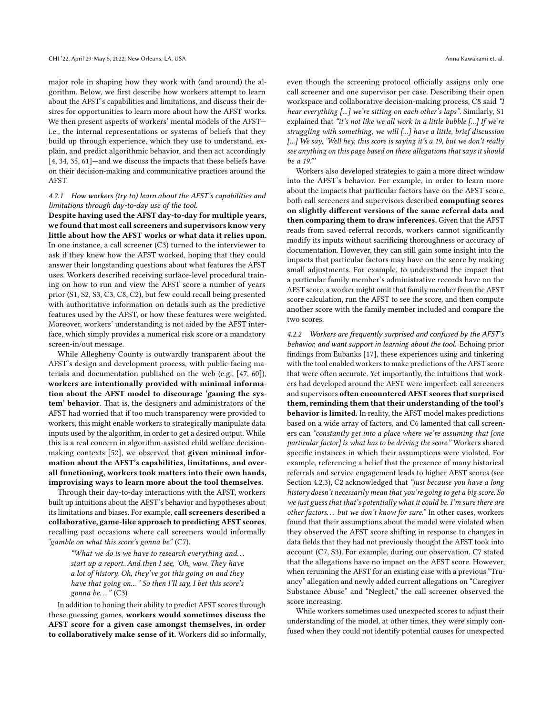major role in shaping how they work with (and around) the algorithm. Below, we first describe how workers attempt to learn about the AFST's capabilities and limitations, and discuss their desires for opportunities to learn more about how the AFST works. We then present aspects of workers' mental models of the AFST i.e., the internal representations or systems of beliefs that they build up through experience, which they use to understand, explain, and predict algorithmic behavior, and then act accordingly [\[4,](#page-15-10) [34,](#page-16-38) [35,](#page-16-39) [61\]](#page-16-40)—and we discuss the impacts that these beliefs have on their decision-making and communicative practices around the AFST.

## <span id="page-7-0"></span>4.2.1 How workers (try to) learn about the AFST's capabilities and limitations through day-to-day use of the tool.

Despite having used the AFST day-to-day for multiple years, we found that most call screeners and supervisors know very little about how the AFST works or what data it relies upon. In one instance, a call screener (C3) turned to the interviewer to ask if they knew how the AFST worked, hoping that they could answer their longstanding questions about what features the AFST uses. Workers described receiving surface-level procedural training on how to run and view the AFST score a number of years prior (S1, S2, S3, C3, C8, C2), but few could recall being presented with authoritative information on details such as the predictive features used by the AFST, or how these features were weighted. Moreover, workers' understanding is not aided by the AFST interface, which simply provides a numerical risk score or a mandatory screen-in/out message.

While Allegheny County is outwardly transparent about the AFST's design and development process, with public-facing materials and documentation published on the web (e.g., [\[47,](#page-16-41) [60\]](#page-16-15)), workers are intentionally provided with minimal information about the AFST model to discourage 'gaming the system' behavior. That is, the designers and administrators of the AFST had worried that if too much transparency were provided to workers, this might enable workers to strategically manipulate data inputs used by the algorithm, in order to get a desired output. While this is a real concern in algorithm-assisted child welfare decisionmaking contexts [\[52\]](#page-16-14), we observed that given minimal information about the AFST's capabilities, limitations, and overall functioning, workers took matters into their own hands, improvising ways to learn more about the tool themselves.

Through their day-to-day interactions with the AFST, workers built up intuitions about the AFST's behavior and hypotheses about its limitations and biases. For example, call screeners described a collaborative, game-like approach to predicting AFST scores, recalling past occasions where call screeners would informally "gamble on what this score's gonna be" (C7).

"What we do is we have to research everything and. . . start up a report. And then I see, 'Oh, wow. They have a lot of history. Oh, they've got this going on and they have that going on... ' So then I'll say, I bet this score's gonna be..."  $(C3)$ 

In addition to honing their ability to predict AFST scores through these guessing games, workers would sometimes discuss the AFST score for a given case amongst themselves, in order to collaboratively make sense of it. Workers did so informally, even though the screening protocol officially assigns only one call screener and one supervisor per case. Describing their open workspace and collaborative decision-making process, C8 said "I hear everything [...] we're sitting on each other's laps". Similarly, S1 explained that "it's not like we all work in a little bubble [...] If we're struggling with something, we will [...] have a little, brief discussion [...] We say, 'Well hey, this score is saying it's a 19, but we don't really see anything on this page based on these allegations that says it should be a 19."'

Workers also developed strategies to gain a more direct window into the AFST's behavior. For example, in order to learn more about the impacts that particular factors have on the AFST score, both call screeners and supervisors described computing scores on slightly different versions of the same referral data and then comparing them to draw inferences. Given that the AFST reads from saved referral records, workers cannot significantly modify its inputs without sacrificing thoroughness or accuracy of documentation. However, they can still gain some insight into the impacts that particular factors may have on the score by making small adjustments. For example, to understand the impact that a particular family member's administrative records have on the AFST score, a worker might omit that family member from the AFST score calculation, run the AFST to see the score, and then compute another score with the family member included and compare the two scores.

4.2.2 Workers are frequently surprised and confused by the AFST's behavior, and want support in learning about the tool. Echoing prior findings from Eubanks [\[17\]](#page-16-27), these experiences using and tinkering with the tool enabled workers to make predictions of the AFST score that were often accurate. Yet importantly, the intuitions that workers had developed around the AFST were imperfect: call screeners and supervisors often encountered AFST scores that surprised them, reminding them that their understanding of the tool's behavior is limited. In reality, the AFST model makes predictions based on a wide array of factors, and C6 lamented that call screeners can "constantly get into a place where we're assuming that [one particular factor] is what has to be driving the score." Workers shared specific instances in which their assumptions were violated. For example, referencing a belief that the presence of many historical referrals and service engagement leads to higher AFST scores (see Section [4.2.3\)](#page-8-0), C2 acknowledged that "just because you have a long history doesn't necessarily mean that you're going to get a big score. So we just guess that that's potentially what it could be. I'm sure there are other factors... but we don't know for sure." In other cases, workers found that their assumptions about the model were violated when they observed the AFST score shifting in response to changes in data fields that they had not previously thought the AFST took into account (C7, S3). For example, during our observation, C7 stated that the allegations have no impact on the AFST score. However, when rerunning the AFST for an existing case with a previous "Truancy" allegation and newly added current allegations on "Caregiver Substance Abuse" and "Neglect," the call screener observed the score increasing.

While workers sometimes used unexpected scores to adjust their understanding of the model, at other times, they were simply confused when they could not identify potential causes for unexpected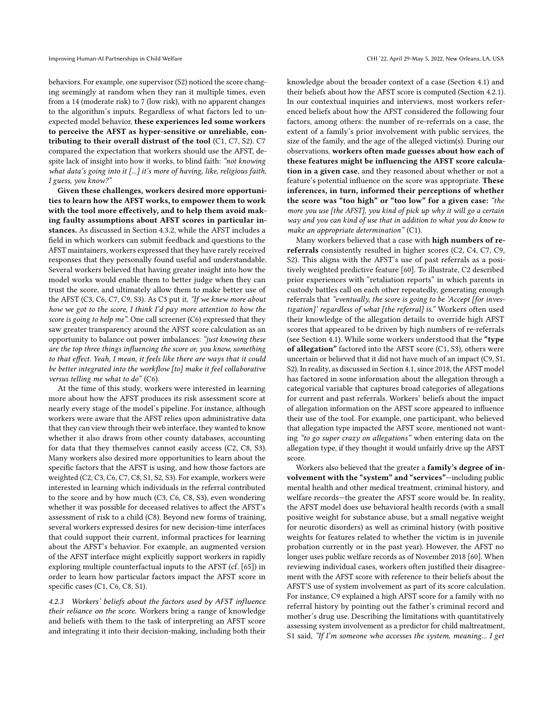behaviors. For example, one supervisor (S2) noticed the score changing seemingly at random when they ran it multiple times, even from a 14 (moderate risk) to 7 (low risk), with no apparent changes to the algorithm's inputs. Regardless of what factors led to unexpected model behavior, these experiences led some workers to perceive the AFST as hyper-sensitive or unreliable, contributing to their overall distrust of the tool (C1, C7, S2). C7 compared the expectation that workers should use the AFST, despite lack of insight into how it works, to blind faith: "not knowing what data's going into it [...] it's more of having, like, religious faith, I guess, you know?"

Given these challenges, workers desired more opportunities to learn how the AFST works, to empower them to work with the tool more effectively, and to help them avoid making faulty assumptions about AFST scores in particular instances. As discussed in Section [4.3.2,](#page-10-0) while the AFST includes a field in which workers can submit feedback and questions to the AFST maintainers, workers expressed that they have rarely received responses that they personally found useful and understandable. Several workers believed that having greater insight into how the model works would enable them to better judge when they can trust the score, and ultimately allow them to make better use of the AFST (C3, C6, C7, C9, S3). As C3 put it, "If we knew more about how we got to the score, I think I'd pay more attention to how the score is going to help me". One call screener (C6) expressed that they saw greater transparency around the AFST score calculation as an opportunity to balance out power imbalances: "just knowing these are the top three things influencing the score or, you know, something to that effect. Yeah, I mean, it feels like there are ways that it could be better integrated into the workflow [to] make it feel collaborative versus telling me what to do" (C6).

At the time of this study, workers were interested in learning more about how the AFST produces its risk assessment score at nearly every stage of the model's pipeline. For instance, although workers were aware that the AFST relies upon administrative data that they can view through their web interface, they wanted to know whether it also draws from other county databases, accounting for data that they themselves cannot easily access (C2, C8, S3). Many workers also desired more opportunities to learn about the specific factors that the AFST is using, and how those factors are weighted (C2, C3, C6, C7, C8, S1, S2, S3). For example, workers were interested in learning which individuals in the referral contributed to the score and by how much (C3, C6, C8, S3), even wondering whether it was possible for deceased relatives to affect the AFST's assessment of risk to a child (C8). Beyond new forms of training, several workers expressed desires for new decision-time interfaces that could support their current, informal practices for learning about the AFST's behavior. For example, an augmented version of the AFST interface might explicitly support workers in rapidly exploring multiple counterfactual inputs to the AFST (cf. [\[65\]](#page-17-5)) in order to learn how particular factors impact the AFST score in specific cases (C1, C6, C8, S1).

<span id="page-8-0"></span>4.2.3 Workers' beliefs about the factors used by AFST influence their reliance on the score. Workers bring a range of knowledge and beliefs with them to the task of interpreting an AFST score and integrating it into their decision-making, including both their

knowledge about the broader context of a case (Section [4.1\)](#page-5-0) and their beliefs about how the AFST score is computed (Section [4.2.1\)](#page-7-0). In our contextual inquiries and interviews, most workers referenced beliefs about how the AFST considered the following four factors, among others: the number of re-referrals on a case, the extent of a family's prior involvement with public services, the size of the family, and the age of the alleged victim(s). During our observations, workers often made guesses about how each of these features might be influencing the AFST score calculation in a given case, and they reasoned about whether or not a feature's potential influence on the score was appropriate. These inferences, in turn, informed their perceptions of whether the score was "too high" or "too low" for a given case: "the more you use [the AFST], you kind of pick up why it will go a certain way and you can kind of use that in addition to what you do know to make an appropriate determination" (C1).

Many workers believed that a case with high numbers of rereferrals consistently resulted in higher scores (C2, C4, C7, C9, S2). This aligns with the AFST's use of past referrals as a positively weighted predictive feature [\[60\]](#page-16-15). To illustrate, C2 described prior experiences with "retaliation reports" in which parents in custody battles call on each other repeatedly, generating enough referrals that "eventually, the score is going to be 'Accept [for investigation]' regardless of what [the referral] is." Workers often used their knowledge of the allegation details to override high AFST scores that appeared to be driven by high numbers of re-referrals (see Section [4.1\)](#page-5-0). While some workers understood that the "type of allegation" factored into the AFST score (C1, S3), others were uncertain or believed that it did not have much of an impact (C9, S1, S2). In reality, as discussed in Section [4.1,](#page-5-0) since 2018, the AFST model has factored in some information about the allegation through a categorical variable that captures broad categories of allegations for current and past referrals. Workers' beliefs about the impact of allegation information on the AFST score appeared to influence their use of the tool. For example, one participant, who believed that allegation type impacted the AFST score, mentioned not wanting "to go super crazy on allegations" when entering data on the allegation type, if they thought it would unfairly drive up the AFST score.

Workers also believed that the greater a family's degree of involvement with the "system" and "services"—including public mental health and other medical treatment, criminal history, and welfare records—the greater the AFST score would be. In reality, the AFST model does use behavioral health records (with a small positive weight for substance abuse, but a small negative weight for neurotic disorders) as well as criminal history (with positive weights for features related to whether the victim is in juvenile probation currently or in the past year). However, the AFST no longer uses public welfare records as of November 2018 [\[60\]](#page-16-15). When reviewing individual cases, workers often justified their disagreement with the AFST score with reference to their beliefs about the AFST'S use of system involvement as part of its score calculation. For instance, C9 explained a high AFST score for a family with no referral history by pointing out the father's criminal record and mother's drug use. Describing the limitations with quantitatively assessing system involvement as a predictor for child maltreatment, S1 said, "If I'm someone who accesses the system, meaning... I get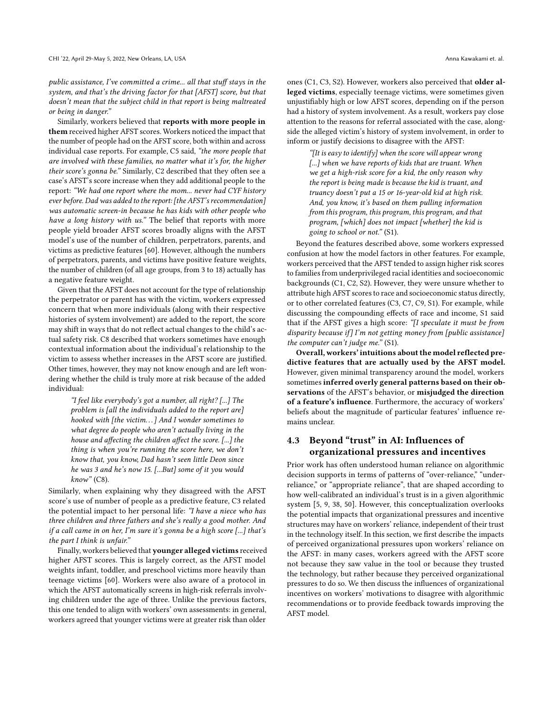public assistance, I've committed a crime... all that stuff stays in the system, and that's the driving factor for that [AFST] score, but that doesn't mean that the subject child in that report is being maltreated or being in danger."

Similarly, workers believed that reports with more people in them received higher AFST scores. Workers noticed the impact that the number of people had on the AFST score, both within and across individual case reports. For example, C5 said, "the more people that are involved with these families, no matter what it's for, the higher their score's gonna be." Similarly, C2 described that they often see a case's AFST's score increase when they add additional people to the report: "We had one report where the mom... never had CYF history ever before. Dad was added to the report: [the AFST's recommendation] was automatic screen-in because he has kids with other people who have a long history with us." The belief that reports with more people yield broader AFST scores broadly aligns with the AFST model's use of the number of children, perpetrators, parents, and victims as predictive features [\[60\]](#page-16-15). However, although the numbers of perpetrators, parents, and victims have positive feature weights, the number of children (of all age groups, from 3 to 18) actually has a negative feature weight.

Given that the AFST does not account for the type of relationship the perpetrator or parent has with the victim, workers expressed concern that when more individuals (along with their respective histories of system involvement) are added to the report, the score may shift in ways that do not reflect actual changes to the child's actual safety risk. C8 described that workers sometimes have enough contextual information about the individual's relationship to the victim to assess whether increases in the AFST score are justified. Other times, however, they may not know enough and are left wondering whether the child is truly more at risk because of the added individual:

"I feel like everybody's got a number, all right? [...] The problem is [all the individuals added to the report are] hooked with [the victim...] And I wonder sometimes to what degree do people who aren't actually living in the house and affecting the children affect the score. [...] the thing is when you're running the score here, we don't know that, you know, Dad hasn't seen little Deon since he was 3 and he's now 15. [...But] some of it you would  $know"$  (C8).

Similarly, when explaining why they disagreed with the AFST score's use of number of people as a predictive feature, C3 related the potential impact to her personal life: "I have a niece who has three children and three fathers and she's really a good mother. And if a call came in on her, I'm sure it's gonna be a high score [...] that's the part I think is unfair."

Finally, workers believed that younger alleged victims received higher AFST scores. This is largely correct, as the AFST model weights infant, toddler, and preschool victims more heavily than teenage victims [\[60\]](#page-16-15). Workers were also aware of a protocol in which the AFST automatically screens in high-risk referrals involving children under the age of three. Unlike the previous factors, this one tended to align with workers' own assessments: in general, workers agreed that younger victims were at greater risk than older

ones (C1, C3, S2). However, workers also perceived that older alleged victims, especially teenage victims, were sometimes given unjustifiably high or low AFST scores, depending on if the person had a history of system involvement. As a result, workers pay close attention to the reasons for referral associated with the case, alongside the alleged victim's history of system involvement, in order to inform or justify decisions to disagree with the AFST:

"[It is easy to identify] when the score will appear wrong [...] when we have reports of kids that are truant. When we get a high-risk score for a kid, the only reason why the report is being made is because the kid is truant, and truancy doesn't put a 15 or 16-year-old kid at high risk. And, you know, it's based on them pulling information from this program, this program, this program, and that program, [which] does not impact [whether] the kid is going to school or not." (S1).

Beyond the features described above, some workers expressed confusion at how the model factors in other features. For example, workers perceived that the AFST tended to assign higher risk scores to families from underprivileged racial identities and socioeconomic backgrounds (C1, C2, S2). However, they were unsure whether to attribute high AFST scores to race and socioeconomic status directly, or to other correlated features (C3, C7, C9, S1). For example, while discussing the compounding effects of race and income, S1 said that if the AFST gives a high score: "[I speculate it must be from disparity because if] I'm not getting money from [public assistance] the computer can't judge me." (S1).

Overall, workers' intuitions about the model reflected predictive features that are actually used by the AFST model. However, given minimal transparency around the model, workers sometimes inferred overly general patterns based on their observations of the AFST's behavior, or misjudged the direction of a feature's influence. Furthermore, the accuracy of workers' beliefs about the magnitude of particular features' influence remains unclear.

# <span id="page-9-0"></span>4.3 Beyond "trust" in AI: Influences of organizational pressures and incentives

Prior work has often understood human reliance on algorithmic decision supports in terms of patterns of "over-reliance," "underreliance," or "appropriate reliance", that are shaped according to how well-calibrated an individual's trust is in a given algorithmic system [\[5,](#page-15-1) [9,](#page-15-5) [38,](#page-16-21) [50\]](#page-16-19). However, this conceptualization overlooks the potential impacts that organizational pressures and incentive structures may have on workers' reliance, independent of their trust in the technology itself. In this section, we first describe the impacts of perceived organizational pressures upon workers' reliance on the AFST: in many cases, workers agreed with the AFST score not because they saw value in the tool or because they trusted the technology, but rather because they perceived organizational pressures to do so. We then discuss the influences of organizational incentives on workers' motivations to disagree with algorithmic recommendations or to provide feedback towards improving the AFST model.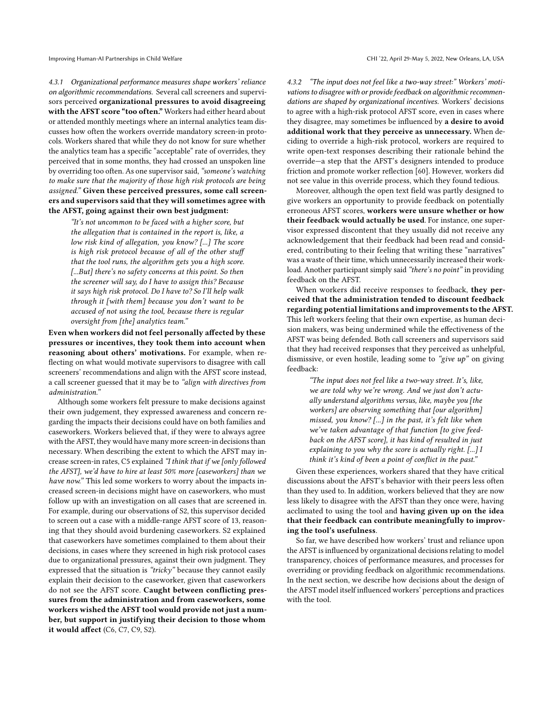<span id="page-10-1"></span>4.3.1 Organizational performance measures shape workers' reliance on algorithmic recommendations. Several call screeners and supervisors perceived organizational pressures to avoid disagreeing with the AFST score "too often." Workers had either heard about or attended monthly meetings where an internal analytics team discusses how often the workers override mandatory screen-in protocols. Workers shared that while they do not know for sure whether the analytics team has a specific "acceptable" rate of overrides, they perceived that in some months, they had crossed an unspoken line by overriding too often. As one supervisor said,"someone's watching to make sure that the majority of those high risk protocols are being assigned." Given these perceived pressures, some call screeners and supervisors said that they will sometimes agree with the AFST, going against their own best judgment:

"It's not uncommon to be faced with a higher score, but the allegation that is contained in the report is, like, a low risk kind of allegation, you know? [...] The score is high risk protocol because of all of the other stuff that the tool runs, the algorithm gets you a high score. [...But] there's no safety concerns at this point. So then the screener will say, do I have to assign this? Because it says high risk protocol. Do I have to? So I'll help walk through it [with them] because you don't want to be accused of not using the tool, because there is regular oversight from [the] analytics team."

Even when workers did not feel personally affected by these pressures or incentives, they took them into account when reasoning about others' motivations. For example, when reflecting on what would motivate supervisors to disagree with call screeners' recommendations and align with the AFST score instead, a call screener guessed that it may be to "align with directives from administration."

Although some workers felt pressure to make decisions against their own judgement, they expressed awareness and concern regarding the impacts their decisions could have on both families and caseworkers. Workers believed that, if they were to always agree with the AFST, they would have many more screen-in decisions than necessary. When describing the extent to which the AFST may increase screen-in rates, C5 explained "I think that if we [only followed the AFST], we'd have to hire at least 50% more [caseworkers] than we have now." This led some workers to worry about the impacts increased screen-in decisions might have on caseworkers, who must follow up with an investigation on all cases that are screened in. For example, during our observations of S2, this supervisor decided to screen out a case with a middle-range AFST score of 13, reasoning that they should avoid burdening caseworkers. S2 explained that caseworkers have sometimes complained to them about their decisions, in cases where they screened in high risk protocol cases due to organizational pressures, against their own judgment. They expressed that the situation is "tricky" because they cannot easily explain their decision to the caseworker, given that caseworkers do not see the AFST score. Caught between conflicting pressures from the administration and from caseworkers, some workers wished the AFST tool would provide not just a number, but support in justifying their decision to those whom it would affect (C6, C7, C9, S2).

<span id="page-10-0"></span>4.3.2 "The input does not feel like a two-way street:" Workers' motivations to disagree with or provide feedback on algorithmic recommendations are shaped by organizational incentives. Workers' decisions to agree with a high-risk protocol AFST score, even in cases where they disagree, may sometimes be influenced by a desire to avoid additional work that they perceive as unnecessary. When deciding to override a high-risk protocol, workers are required to write open-text responses describing their rationale behind the override—a step that the AFST's designers intended to produce friction and promote worker reflection [\[60\]](#page-16-15). However, workers did not see value in this override process, which they found tedious.

Moreover, although the open text field was partly designed to give workers an opportunity to provide feedback on potentially erroneous AFST scores, workers were unsure whether or how their feedback would actually be used. For instance, one supervisor expressed discontent that they usually did not receive any acknowledgement that their feedback had been read and considered, contributing to their feeling that writing these "narratives" was a waste of their time, which unnecessarily increased their workload. Another participant simply said "there's no point" in providing feedback on the AFST.

When workers did receive responses to feedback, they perceived that the administration tended to discount feedback regarding potential limitations and improvements to the AFST. This left workers feeling that their own expertise, as human decision makers, was being undermined while the effectiveness of the AFST was being defended. Both call screeners and supervisors said that they had received responses that they perceived as unhelpful, dismissive, or even hostile, leading some to "give up" on giving feedback:

"The input does not feel like a two-way street. It's, like, we are told why we're wrong. And we just don't actually understand algorithms versus, like, maybe you [the workers] are observing something that [our algorithm] missed, you know? [...] in the past, it's felt like when we've taken advantage of that function [to give feedback on the AFST score], it has kind of resulted in just explaining to you why the score is actually right. [...] I think it's kind of been a point of conflict in the past."

Given these experiences, workers shared that they have critical discussions about the AFST's behavior with their peers less often than they used to. In addition, workers believed that they are now less likely to disagree with the AFST than they once were, having acclimated to using the tool and having given up on the idea that their feedback can contribute meaningfully to improving the tool's usefulness.

So far, we have described how workers' trust and reliance upon the AFST is influenced by organizational decisions relating to model transparency, choices of performance measures, and processes for overriding or providing feedback on algorithmic recommendations. In the next section, we describe how decisions about the design of the AFST model itself influenced workers' perceptions and practices with the tool.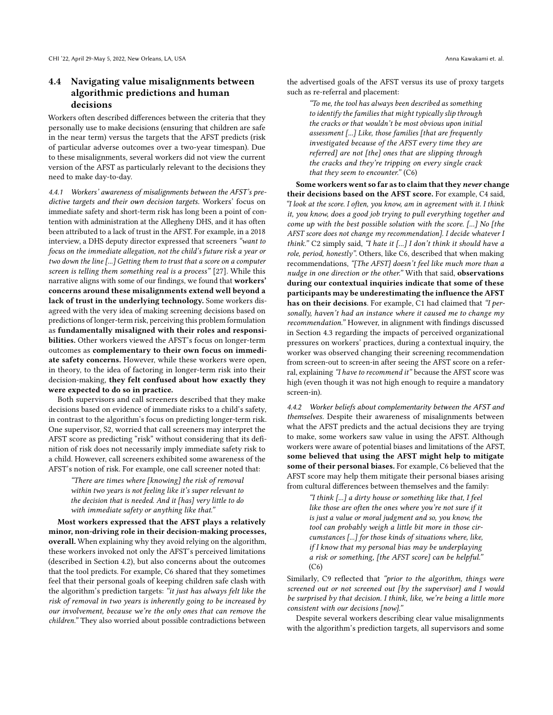# <span id="page-11-0"></span>4.4 Navigating value misalignments between algorithmic predictions and human decisions

Workers often described differences between the criteria that they personally use to make decisions (ensuring that children are safe in the near term) versus the targets that the AFST predicts (risk of particular adverse outcomes over a two-year timespan). Due to these misalignments, several workers did not view the current version of the AFST as particularly relevant to the decisions they need to make day-to-day.

4.4.1 Workers' awareness of misalignments between the AFST's predictive targets and their own decision targets. Workers' focus on immediate safety and short-term risk has long been a point of contention with administration at the Allegheny DHS, and it has often been attributed to a lack of trust in the AFST. For example, in a 2018 interview, a DHS deputy director expressed that screeners "want to focus on the immediate allegation, not the child's future risk a year or two down the line [...] Getting them to trust that a score on a computer screen is telling them something real is a process" [\[27\]](#page-16-12). While this narrative aligns with some of our findings, we found that workers' concerns around these misalignments extend well beyond a lack of trust in the underlying technology. Some workers disagreed with the very idea of making screening decisions based on predictions of longer-term risk, perceiving this problem formulation as fundamentally misaligned with their roles and responsibilities. Other workers viewed the AFST's focus on longer-term outcomes as complementary to their own focus on immediate safety concerns. However, while these workers were open, in theory, to the idea of factoring in longer-term risk into their decision-making, they felt confused about how exactly they were expected to do so in practice.

Both supervisors and call screeners described that they make decisions based on evidence of immediate risks to a child's safety, in contrast to the algorithm's focus on predicting longer-term risk. One supervisor, S2, worried that call screeners may interpret the AFST score as predicting "risk" without considering that its definition of risk does not necessarily imply immediate safety risk to a child. However, call screeners exhibited some awareness of the AFST's notion of risk. For example, one call screener noted that:

> "There are times where [knowing] the risk of removal within two years is not feeling like it's super relevant to the decision that is needed. And it [has] very little to do with immediate safety or anything like that."

Most workers expressed that the AFST plays a relatively minor, non-driving role in their decision-making processes, overall. When explaining why they avoid relying on the algorithm, these workers invoked not only the AFST's perceived limitations (described in Section [4.2\)](#page-6-1), but also concerns about the outcomes that the tool predicts. For example, C6 shared that they sometimes feel that their personal goals of keeping children safe clash with the algorithm's prediction targets: "it just has always felt like the risk of removal in two years is inherently going to be increased by our involvement, because we're the only ones that can remove the children." They also worried about possible contradictions between

the advertised goals of the AFST versus its use of proxy targets such as re-referral and placement:

> "To me, the tool has always been described as something to identify the families that might typically slip through the cracks or that wouldn't be most obvious upon initial assessment [...] Like, those families [that are frequently investigated because of the AFST every time they are referred] are not [the] ones that are slipping through the cracks and they're tripping on every single crack that they seem to encounter." (C6)

Some workers went so far as to claim that they never change their decisions based on the AFST score. For example, C4 said, "I look at the score. I often, you know, am in agreement with it. I think it, you know, does a good job trying to pull everything together and come up with the best possible solution with the score. [...] No [the AFST score does not change my recommendation]. I decide whatever I think." C2 simply said, "I hate it [...] I don't think it should have a role, period, honestly". Others, like C6, described that when making recommendations, "[The AFST] doesn't feel like much more than a nudge in one direction or the other." With that said, observations during our contextual inquiries indicate that some of these participants may be underestimating the influence the AFST has on their decisions. For example, C1 had claimed that "I personally, haven't had an instance where it caused me to change my recommendation." However, in alignment with findings discussed in Section [4.3](#page-9-0) regarding the impacts of perceived organizational pressures on workers' practices, during a contextual inquiry, the worker was observed changing their screening recommendation from screen-out to screen-in after seeing the AFST score on a referral, explaining "I have to recommend it" because the AFST score was high (even though it was not high enough to require a mandatory screen-in).

<span id="page-11-1"></span>4.4.2 Worker beliefs about complementarity between the AFST and themselves. Despite their awareness of misalignments between what the AFST predicts and the actual decisions they are trying to make, some workers saw value in using the AFST. Although workers were aware of potential biases and limitations of the AFST, some believed that using the AFST might help to mitigate some of their personal biases. For example, C6 believed that the AFST score may help them mitigate their personal biases arising from cultural differences between themselves and the family:

"I think [...] a dirty house or something like that, I feel like those are often the ones where you're not sure if it is just a value or moral judgment and so, you know, the tool can probably weigh a little bit more in those circumstances [...] for those kinds of situations where, like, if I know that my personal bias may be underplaying a risk or something, [the AFST score] can be helpful."  $(C6)$ 

Similarly, C9 reflected that "prior to the algorithm, things were screened out or not screened out [by the supervisor] and I would be surprised by that decision. I think, like, we're being a little more consistent with our decisions [now]."

Despite several workers describing clear value misalignments with the algorithm's prediction targets, all supervisors and some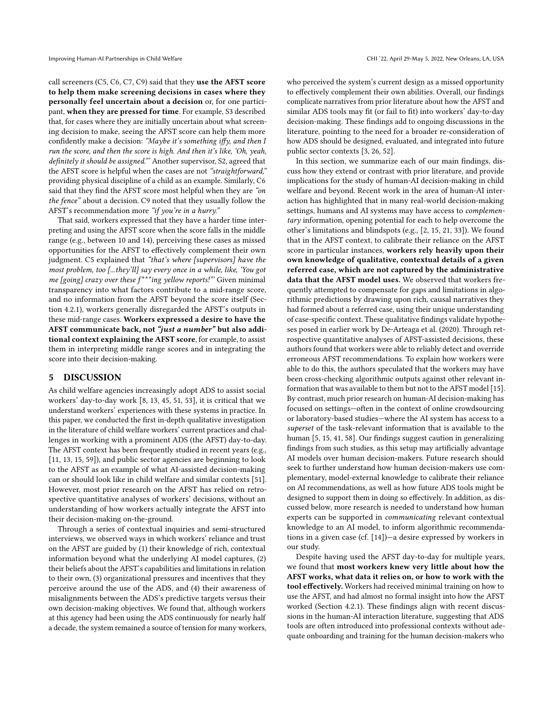call screeners (C5, C6, C7, C9) said that they use the AFST score to help them make screening decisions in cases where they personally feel uncertain about a decision or, for one participant, when they are pressed for time. For example, S3 described that, for cases where they are initially uncertain about what screening decision to make, seeing the AFST score can help them more confidently make a decision: "Maybe it's something iffy, and then I run the score, and then the score is high. And then it's like, 'Oh, yeah, definitely it should be assigned."' Another supervisor, S2, agreed that the AFST score is helpful when the cases are not "straightforward," providing physical discipline of a child as an example. Similarly, C6 said that they find the AFST score most helpful when they are "on the fence" about a decision. C9 noted that they usually follow the AFST's recommendation more "if you're in a hurry."

That said, workers expressed that they have a harder time interpreting and using the AFST score when the score falls in the middle range (e.g., between 10 and 14), perceiving these cases as missed opportunities for the AFST to effectively complement their own judgment. C5 explained that "that's where [supervisors] have the most problem, too [...they'll] say every once in a while, like, 'You got me [going] crazy over these  $f^{***}$ ing yellow reports!"' Given minimal transparency into what factors contribute to a mid-range score, and no information from the AFST beyond the score itself (Section [4.2.1\)](#page-7-0), workers generally disregarded the AFST's outputs in these mid-range cases. Workers expressed a desire to have the AFST communicate back, not "just a number" but also additional context explaining the AFST score, for example, to assist them in interpreting middle range scores and in integrating the score into their decision-making.

#### 5 DISCUSSION

As child welfare agencies increasingly adopt ADS to assist social workers' day-to-day work [\[8,](#page-15-2) [13,](#page-15-0) [45,](#page-16-9) [51,](#page-16-10) [53\]](#page-16-11), it is critical that we understand workers' experiences with these systems in practice. In this paper, we conducted the first in-depth qualitative investigation in the literature of child welfare workers' current practices and challenges in working with a prominent ADS (the AFST) day-to-day. The AFST context has been frequently studied in recent years (e.g., [\[11,](#page-15-3) [13,](#page-15-0) [15,](#page-16-0) [59\]](#page-16-16)), and public sector agencies are beginning to look to the AFST as an example of what AI-assisted decision-making can or should look like in child welfare and similar contexts [\[51\]](#page-16-10). However, most prior research on the AFST has relied on retrospective quantitative analyses of workers' decisions, without an understanding of how workers actually integrate the AFST into their decision-making on-the-ground.

Through a series of contextual inquiries and semi-structured interviews, we observed ways in which workers' reliance and trust on the AFST are guided by (1) their knowledge of rich, contextual information beyond what the underlying AI model captures, (2) their beliefs about the AFST's capabilities and limitations in relation to their own, (3) organizational pressures and incentives that they perceive around the use of the ADS, and (4) their awareness of misalignments between the ADS's predictive targets versus their own decision-making objectives. We found that, although workers at this agency had been using the ADS continuously for nearly half a decade, the system remained a source of tension for many workers,

who perceived the system's current design as a missed opportunity to effectively complement their own abilities. Overall, our findings complicate narratives from prior literature about how the AFST and similar ADS tools may fit (or fail to fit) into workers' day-to-day decision-making. These findings add to ongoing discussions in the literature, pointing to the need for a broader re-consideration of how ADS should be designed, evaluated, and integrated into future public sector contexts [\[3,](#page-15-4) [26,](#page-16-3) [52\]](#page-16-14).

In this section, we summarize each of our main findings, discuss how they extend or contrast with prior literature, and provide implications for the study of human-AI decision-making in child welfare and beyond. Recent work in the area of human-AI interaction has highlighted that in many real-world decision-making settings, humans and AI systems may have access to complementary information, opening potential for each to help overcome the other's limitations and blindspots (e.g., [\[2,](#page-15-7) [15,](#page-16-0) [21,](#page-16-2) [33\]](#page-16-36)). We found that in the AFST context, to calibrate their reliance on the AFST score in particular instances, workers rely heavily upon their own knowledge of qualitative, contextual details of a given referred case, which are not captured by the administrative data that the AFST model uses. We observed that workers frequently attempted to compensate for gaps and limitations in algorithmic predictions by drawing upon rich, causal narratives they had formed about a referred case, using their unique understanding of case-specific context. These qualitative findings validate hypotheses posed in earlier work by De-Arteaga et al. (2020). Through retrospective quantitative analyses of AFST-assisted decisions, these authors found that workers were able to reliably detect and override erroneous AFST recommendations. To explain how workers were able to do this, the authors speculated that the workers may have been cross-checking algorithmic outputs against other relevant information that was available to them but not to the AFST model [\[15\]](#page-16-0). By contrast, much prior research on human-AI decision-making has focused on settings—often in the context of online crowdsourcing or laboratory-based studies—where the AI system has access to a superset of the task-relevant information that is available to the human [\[5,](#page-15-1) [15,](#page-16-0) [41,](#page-16-22) [58\]](#page-16-8). Our findings suggest caution in generalizing findings from such studies, as this setup may artificially advantage AI models over human decision-makers. Future research should seek to further understand how human decision-makers use complementary, model-external knowledge to calibrate their reliance on AI recommendations, as well as how future ADS tools might be designed to support them in doing so effectively. In addition, as discussed below, more research is needed to understand how human experts can be supported in communicating relevant contextual knowledge to an AI model, to inform algorithmic recommendations in a given case (cf. [\[14\]](#page-16-28))—a desire expressed by workers in our study.

Despite having used the AFST day-to-day for multiple years, we found that most workers knew very little about how the AFST works, what data it relies on, or how to work with the tool effectively. Workers had received minimal training on how to use the AFST, and had almost no formal insight into how the AFST worked (Section [4.2.1\)](#page-7-0). These findings align with recent discussions in the human-AI interaction literature, suggesting that ADS tools are often introduced into professional contexts without adequate onboarding and training for the human decision-makers who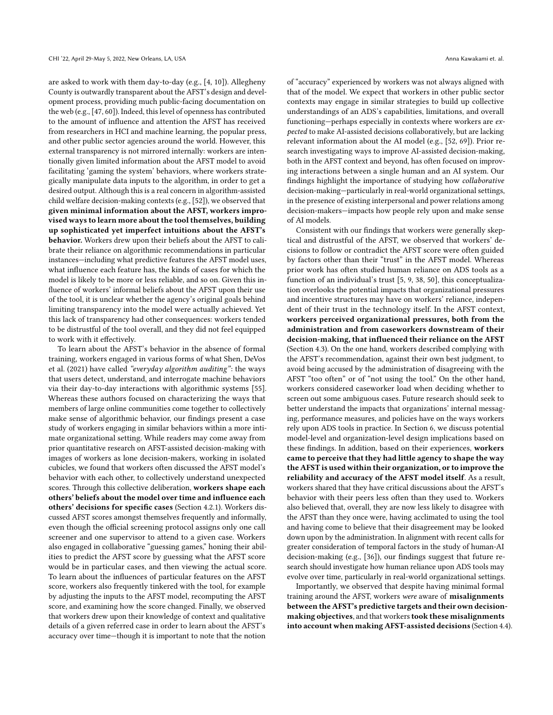are asked to work with them day-to-day (e.g., [\[4,](#page-15-10) [10\]](#page-15-11)). Allegheny County is outwardly transparent about the AFST's design and development process, providing much public-facing documentation on the web (e.g., [\[47,](#page-16-41) [60\]](#page-16-15)). Indeed, this level of openness has contributed to the amount of influence and attention the AFST has received from researchers in HCI and machine learning, the popular press, and other public sector agencies around the world. However, this external transparency is not mirrored internally: workers are intentionally given limited information about the AFST model to avoid facilitating 'gaming the system' behaviors, where workers strategically manipulate data inputs to the algorithm, in order to get a desired output. Although this is a real concern in algorithm-assisted child welfare decision-making contexts (e.g., [\[52\]](#page-16-14)), we observed that given minimal information about the AFST, workers improvised ways to learn more about the tool themselves, building up sophisticated yet imperfect intuitions about the AFST's behavior. Workers drew upon their beliefs about the AFST to calibrate their reliance on algorithmic recommendations in particular instances—including what predictive features the AFST model uses, what influence each feature has, the kinds of cases for which the model is likely to be more or less reliable, and so on. Given this influence of workers' informal beliefs about the AFST upon their use of the tool, it is unclear whether the agency's original goals behind limiting transparency into the model were actually achieved. Yet this lack of transparency had other consequences: workers tended to be distrustful of the tool overall, and they did not feel equipped to work with it effectively.

To learn about the AFST's behavior in the absence of formal training, workers engaged in various forms of what Shen, DeVos et al. (2021) have called "everyday algorithm auditing": the ways that users detect, understand, and interrogate machine behaviors via their day-to-day interactions with algorithmic systems [\[55\]](#page-16-42). Whereas these authors focused on characterizing the ways that members of large online communities come together to collectively make sense of algorithmic behavior, our findings present a case study of workers engaging in similar behaviors within a more intimate organizational setting. While readers may come away from prior quantitative research on AFST-assisted decision-making with images of workers as lone decision-makers, working in isolated cubicles, we found that workers often discussed the AFST model's behavior with each other, to collectively understand unexpected scores. Through this collective deliberation, workers shape each others' beliefs about the model over time and influence each others' decisions for specific cases (Section [4.2.1\)](#page-7-0). Workers discussed AFST scores amongst themselves frequently and informally, even though the official screening protocol assigns only one call screener and one supervisor to attend to a given case. Workers also engaged in collaborative "guessing games," honing their abilities to predict the AFST score by guessing what the AFST score would be in particular cases, and then viewing the actual score. To learn about the influences of particular features on the AFST score, workers also frequently tinkered with the tool, for example by adjusting the inputs to the AFST model, recomputing the AFST score, and examining how the score changed. Finally, we observed that workers drew upon their knowledge of context and qualitative details of a given referred case in order to learn about the AFST's accuracy over time—though it is important to note that the notion

of "accuracy" experienced by workers was not always aligned with that of the model. We expect that workers in other public sector contexts may engage in similar strategies to build up collective understandings of an ADS's capabilities, limitations, and overall functioning—perhaps especially in contexts where workers are expected to make AI-assisted decisions collaboratively, but are lacking relevant information about the AI model (e.g., [\[52,](#page-16-14) [69\]](#page-17-6)). Prior research investigating ways to improve AI-assisted decision-making, both in the AFST context and beyond, has often focused on improving interactions between a single human and an AI system. Our findings highlight the importance of studying how collaborative decision-making—particularly in real-world organizational settings, in the presence of existing interpersonal and power relations among decision-makers—impacts how people rely upon and make sense of AI models.

Consistent with our findings that workers were generally skeptical and distrustful of the AFST, we observed that workers' decisions to follow or contradict the AFST score were often guided by factors other than their "trust" in the AFST model. Whereas prior work has often studied human reliance on ADS tools as a function of an individual's trust [\[5,](#page-15-1) [9,](#page-15-5) [38,](#page-16-21) [50\]](#page-16-19), this conceptualization overlooks the potential impacts that organizational pressures and incentive structures may have on workers' reliance, independent of their trust in the technology itself. In the AFST context, workers perceived organizational pressures, both from the administration and from caseworkers downstream of their decision-making, that influenced their reliance on the AFST (Section [4.3\)](#page-9-0). On the one hand, workers described complying with the AFST's recommendation, against their own best judgment, to avoid being accused by the administration of disagreeing with the AFST "too often" or of "not using the tool." On the other hand, workers considered caseworker load when deciding whether to screen out some ambiguous cases. Future research should seek to better understand the impacts that organizations' internal messaging, performance measures, and policies have on the ways workers rely upon ADS tools in practice. In Section [6,](#page-14-0) we discuss potential model-level and organization-level design implications based on these findings. In addition, based on their experiences, workers came to perceive that they had little agency to shape the way the AFST is used within their organization, or to improve the reliability and accuracy of the AFST model itself. As a result, workers shared that they have critical discussions about the AFST's behavior with their peers less often than they used to. Workers also believed that, overall, they are now less likely to disagree with the AFST than they once were, having acclimated to using the tool and having come to believe that their disagreement may be looked down upon by the administration. In alignment with recent calls for greater consideration of temporal factors in the study of human-AI decision-making (e.g., [\[36\]](#page-16-43)), our findings suggest that future research should investigate how human reliance upon ADS tools may evolve over time, particularly in real-world organizational settings.

Importantly, we observed that despite having minimal formal training around the AFST, workers were aware of misalignments between the AFST's predictive targets and their own decisionmaking objectives, and that workerstook these misalignments into account when making AFST-assisted decisions (Section [4.4\)](#page-11-0).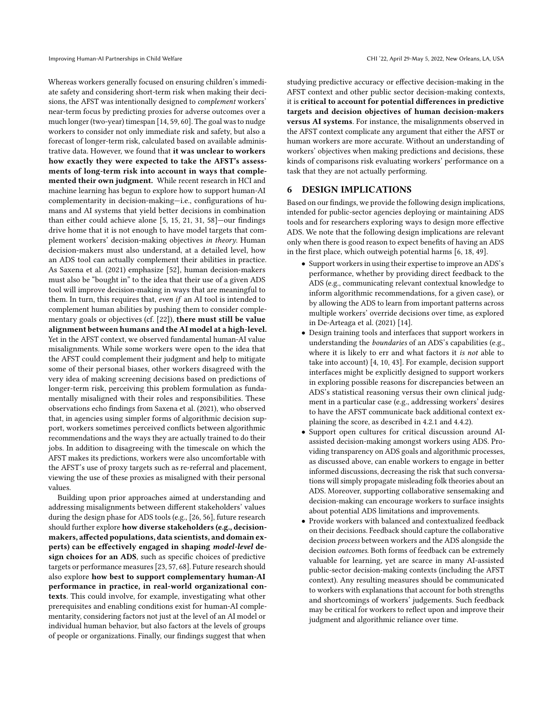Whereas workers generally focused on ensuring children's immediate safety and considering short-term risk when making their decisions, the AFST was intentionally designed to complement workers' near-term focus by predicting proxies for adverse outcomes over a much longer (two-year) timespan [\[14,](#page-16-28) [59,](#page-16-16) [60\]](#page-16-15). The goal was to nudge workers to consider not only immediate risk and safety, but also a forecast of longer-term risk, calculated based on available administrative data. However, we found that it was unclear to workers how exactly they were expected to take the AFST's assessments of long-term risk into account in ways that complemented their own judgment. While recent research in HCI and machine learning has begun to explore how to support human-AI complementarity in decision-making—i.e., configurations of humans and AI systems that yield better decisions in combination than either could achieve alone [\[5,](#page-15-1) [15,](#page-16-0) [21,](#page-16-2) [31,](#page-16-7) [58\]](#page-16-8)—our findings drive home that it is not enough to have model targets that complement workers' decision-making objectives in theory. Human decision-makers must also understand, at a detailed level, how an ADS tool can actually complement their abilities in practice. As Saxena et al. (2021) emphasize [\[52\]](#page-16-14), human decision-makers must also be "bought in" to the idea that their use of a given ADS tool will improve decision-making in ways that are meaningful to them. In turn, this requires that, even if an AI tool is intended to complement human abilities by pushing them to consider complementary goals or objectives (cf. [\[22\]](#page-16-44)), there must still be value alignment between humans and the AI model at a high-level. Yet in the AFST context, we observed fundamental human-AI value misalignments. While some workers were open to the idea that the AFST could complement their judgment and help to mitigate some of their personal biases, other workers disagreed with the very idea of making screening decisions based on predictions of longer-term risk, perceiving this problem formulation as fundamentally misaligned with their roles and responsibilities. These observations echo findings from Saxena et al. (2021), who observed that, in agencies using simpler forms of algorithmic decision support, workers sometimes perceived conflicts between algorithmic recommendations and the ways they are actually trained to do their jobs. In addition to disagreeing with the timescale on which the AFST makes its predictions, workers were also uncomfortable with the AFST's use of proxy targets such as re-referral and placement, viewing the use of these proxies as misaligned with their personal values.

Building upon prior approaches aimed at understanding and addressing misalignments between different stakeholders' values during the design phase for ADS tools (e.g., [\[26,](#page-16-3) [56\]](#page-16-24), future research should further explore how diverse stakeholders (e.g., decisionmakers, affected populations, data scientists, and domain experts) can be effectively engaged in shaping model-level design choices for an ADS, such as specific choices of predictive targets or performance measures [\[23,](#page-16-45) [57,](#page-16-46) [68\]](#page-17-7). Future research should also explore how best to support complementary human-AI performance in practice, in real-world organizational contexts. This could involve, for example, investigating what other prerequisites and enabling conditions exist for human-AI complementarity, considering factors not just at the level of an AI model or individual human behavior, but also factors at the levels of groups of people or organizations. Finally, our findings suggest that when

studying predictive accuracy or effective decision-making in the AFST context and other public sector decision-making contexts, it is critical to account for potential differences in predictive targets and decision objectives of human decision-makers versus AI systems. For instance, the misalignments observed in the AFST context complicate any argument that either the AFST or human workers are more accurate. Without an understanding of workers' objectives when making predictions and decisions, these kinds of comparisons risk evaluating workers' performance on a task that they are not actually performing.

#### <span id="page-14-0"></span>6 DESIGN IMPLICATIONS

Based on our findings, we provide the following design implications, intended for public-sector agencies deploying or maintaining ADS tools and for researchers exploring ways to design more effective ADS. We note that the following design implications are relevant only when there is good reason to expect benefits of having an ADS in the first place, which outweigh potential harms [\[6,](#page-15-12) [18,](#page-16-47) [49\]](#page-16-34).

- Support workers in using their expertise to improve an ADS's performance, whether by providing direct feedback to the ADS (e.g., communicating relevant contextual knowledge to inform algorithmic recommendations, for a given case), or by allowing the ADS to learn from important patterns across multiple workers' override decisions over time, as explored in De-Arteaga et al. (2021) [\[14\]](#page-16-28).
- Design training tools and interfaces that support workers in understanding the *boundaries* of an ADS's capabilities (e.g., where it is likely to err and what factors it is not able to take into account) [\[4,](#page-15-10) [10,](#page-15-11) [43\]](#page-16-48). For example, decision support interfaces might be explicitly designed to support workers in exploring possible reasons for discrepancies between an ADS's statistical reasoning versus their own clinical judgment in a particular case (e.g., addressing workers' desires to have the AFST communicate back additional context explaining the score, as described in [4.2.1](#page-7-0) and [4.4.2\)](#page-11-1).
- Support open cultures for critical discussion around AIassisted decision-making amongst workers using ADS. Providing transparency on ADS goals and algorithmic processes, as discussed above, can enable workers to engage in better informed discussions, decreasing the risk that such conversations will simply propagate misleading folk theories about an ADS. Moreover, supporting collaborative sensemaking and decision-making can encourage workers to surface insights about potential ADS limitations and improvements.
- Provide workers with balanced and contextualized feedback on their decisions. Feedback should capture the collaborative decision process between workers and the ADS alongside the decision outcomes. Both forms of feedback can be extremely valuable for learning, yet are scarce in many AI-assisted public-sector decision-making contexts (including the AFST context). Any resulting measures should be communicated to workers with explanations that account for both strengths and shortcomings of workers' judgements. Such feedback may be critical for workers to reflect upon and improve their judgment and algorithmic reliance over time.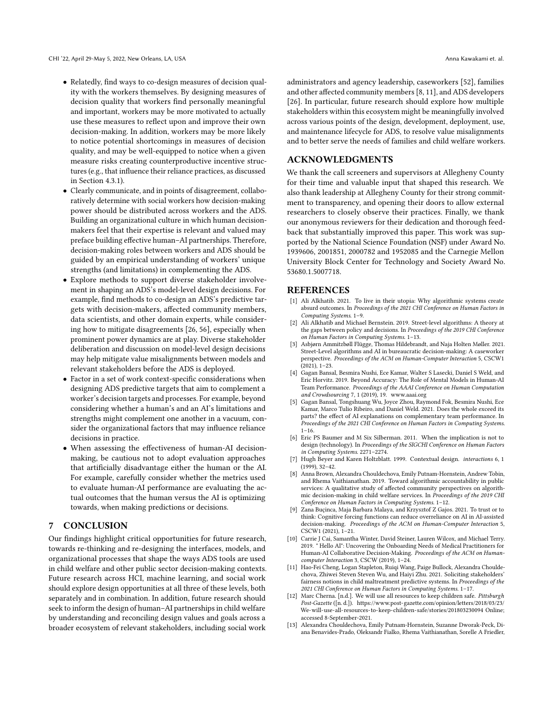- Relatedly, find ways to co-design measures of decision quality with the workers themselves. By designing measures of decision quality that workers find personally meaningful and important, workers may be more motivated to actually use these measures to reflect upon and improve their own decision-making. In addition, workers may be more likely to notice potential shortcomings in measures of decision quality, and may be well-equipped to notice when a given measure risks creating counterproductive incentive structures (e.g., that influence their reliance practices, as discussed in Section [4.3.1\)](#page-10-1).
- Clearly communicate, and in points of disagreement, collaboratively determine with social workers how decision-making power should be distributed across workers and the ADS. Building an organizational culture in which human decisionmakers feel that their expertise is relevant and valued may preface building effective human–AI partnerships. Therefore, decision-making roles between workers and ADS should be guided by an empirical understanding of workers' unique strengths (and limitations) in complementing the ADS.
- Explore methods to support diverse stakeholder involvement in shaping an ADS's model-level design decisions. For example, find methods to co-design an ADS's predictive targets with decision-makers, affected community members, data scientists, and other domain experts, while considering how to mitigate disagreements [\[26,](#page-16-3) [56\]](#page-16-24), especially when prominent power dynamics are at play. Diverse stakeholder deliberation and discussion on model-level design decisions may help mitigate value misalignments between models and relevant stakeholders before the ADS is deployed.
- Factor in a set of work context-specific considerations when designing ADS predictive targets that aim to complement a worker's decision targets and processes. For example, beyond considering whether a human's and an AI's limitations and strengths might complement one another in a vacuum, consider the organizational factors that may influence reliance decisions in practice.
- When assessing the effectiveness of human-AI decisionmaking, be cautious not to adopt evaluation approaches that artificially disadvantage either the human or the AI. For example, carefully consider whether the metrics used to evaluate human-AI performance are evaluating the actual outcomes that the human versus the AI is optimizing towards, when making predictions or decisions.

# 7 CONCLUSION

Our findings highlight critical opportunities for future research, towards re-thinking and re-designing the interfaces, models, and organizational processes that shape the ways ADS tools are used in child welfare and other public sector decision-making contexts. Future research across HCI, machine learning, and social work should explore design opportunities at all three of these levels, both separately and in combination. In addition, future research should seek to inform the design of human–AI partnerships in child welfare by understanding and reconciling design values and goals across a broader ecosystem of relevant stakeholders, including social work

administrators and agency leadership, caseworkers [\[52\]](#page-16-14), families and other affected community members [\[8,](#page-15-2) [11\]](#page-15-3), and ADS developers [\[26\]](#page-16-3). In particular, future research should explore how multiple stakeholders within this ecosystem might be meaningfully involved across various points of the design, development, deployment, use, and maintenance lifecycle for ADS, to resolve value misalignments and to better serve the needs of families and child welfare workers.

## ACKNOWLEDGMENTS

We thank the call screeners and supervisors at Allegheny County for their time and valuable input that shaped this research. We also thank leadership at Allegheny County for their strong commitment to transparency, and opening their doors to allow external researchers to closely observe their practices. Finally, we thank our anonymous reviewers for their dedication and thorough feedback that substantially improved this paper. This work was supported by the National Science Foundation (NSF) under Award No. 1939606, 2001851, 2000782 and 1952085 and the Carnegie Mellon University Block Center for Technology and Society Award No. 53680.1.5007718.

#### REFERENCES

- <span id="page-15-6"></span>[1] Ali Alkhatib. 2021. To live in their utopia: Why algorithmic systems create absurd outcomes. In Proceedings of the 2021 CHI Conference on Human Factors in Computing Systems. 1–9.
- <span id="page-15-7"></span>Ali Alkhatib and Michael Bernstein. 2019. Street-level algorithms: A theory at the gaps between policy and decisions. In Proceedings of the 2019 CHI Conference on Human Factors in Computing Systems. 1–13.
- <span id="page-15-4"></span>[3] Asbjørn Ammitzbøll Flügge, Thomas Hildebrandt, and Naja Holten Møller. 2021. Street-Level algorithms and AI in bureaucratic decision-making: A caseworker perspective. Proceedings of the ACM on Human-Computer Interaction 5, CSCW1  $(2021)$ , 1–23.
- <span id="page-15-10"></span>[4] Gagan Bansal, Besmira Nushi, Ece Kamar, Walter S Lasecki, Daniel S Weld, and Eric Horvitz. 2019. Beyond Accuracy: The Role of Mental Models in Human-AI Team Performance. Proceedings of the AAAI Conference on Human Computation and Crowdsourcing 7, 1 (2019), 19.<www.aaai.org>
- <span id="page-15-1"></span>[5] Gagan Bansal, Tongshuang Wu, Joyce Zhou, Raymond Fok, Besmira Nushi, Ece Kamar, Marco Tulio Ribeiro, and Daniel Weld. 2021. Does the whole exceed its parts? the effect of AI explanations on complementary team performance. In Proceedings of the 2021 CHI Conference on Human Factors in Computing Systems.  $1 - 16$ .
- <span id="page-15-12"></span>[6] Eric PS Baumer and M Six Silberman. 2011. When the implication is not to design (technology). In Proceedings of the SIGCHI Conference on Human Factors in Computing Systems. 2271–2274.
- <span id="page-15-8"></span>[7] Hugh Beyer and Karen Holtzblatt. 1999. Contextual design. interactions 6, 1 (1999), 32–42.
- <span id="page-15-2"></span>[8] Anna Brown, Alexandra Chouldechova, Emily Putnam-Hornstein, Andrew Tobin, and Rhema Vaithianathan. 2019. Toward algorithmic accountability in public services: A qualitative study of affected community perspectives on algorithmic decision-making in child welfare services. In Proceedings of the 2019 CHI Conference on Human Factors in Computing Systems. 1–12.
- <span id="page-15-5"></span>Zana Buçinca, Maja Barbara Malaya, and Krzysztof Z Gajos. 2021. To trust or to think: Cognitive forcing functions can reduce overreliance on AI in AI-assisted decision-making. Proceedings of the ACM on Human-Computer Interaction 5, CSCW1 (2021), 1–21.
- <span id="page-15-11"></span>[10] Carrie J Cai, Samantha Winter, David Steiner, Lauren Wilcox, and Michael Terry. 2019. " Hello AI": Uncovering the Onboarding Needs of Medical Practitioners for Human-AI Collaborative Decision-Making. Proceedings of the ACM on Humancomputer Interaction 3, CSCW (2019), 1–24.
- <span id="page-15-3"></span>[11] Hao-Fei Cheng, Logan Stapleton, Ruiqi Wang, Paige Bullock, Alexandra Chouldechova, Zhiwei Steven Steven Wu, and Haiyi Zhu. 2021. Soliciting stakeholders' fairness notions in child maltreatment predictive systems. In Proceedings of the 2021 CHI Conference on Human Factors in Computing Systems. 1–17.
- <span id="page-15-9"></span>[12] Marc Cherna. [n.d.]. We will use all resources to keep children safe. Pittsburgh Post-Gazette ([n. d.]). [https://www.post-gazette.com/opinion/letters/2018/03/23/](https://www.post-gazette.com/opinion/letters/2018/03/23/We-will-use-all-resources-to-keep-children-safe/stories/201803230094) [We-will-use-all-resources-to-keep-children-safe/stories/201803230094](https://www.post-gazette.com/opinion/letters/2018/03/23/We-will-use-all-resources-to-keep-children-safe/stories/201803230094) Online; accessed 8-September-2021.
- <span id="page-15-0"></span>[13] Alexandra Chouldechova, Emily Putnam-Hornstein, Suzanne Dworak-Peck, Diana Benavides-Prado, Oleksandr Fialko, Rhema Vaithianathan, Sorelle A Friedler,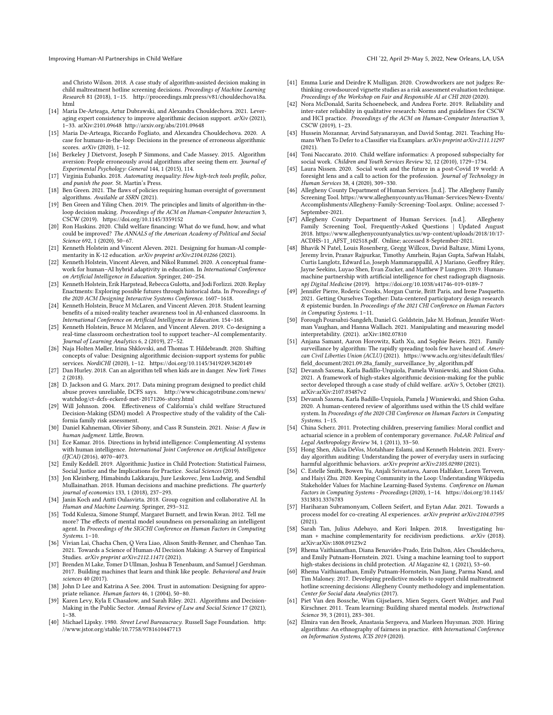and Christo Wilson. 2018. A case study of algorithm-assisted decision making in child maltreatment hotline screening decisions. Proceedings of Machine Learning Research 81 (2018), 1–15. [http://proceedings.mlr.press/v81/chouldechova18a.](http://proceedings.mlr.press/v81/chouldechova18a.html) [html](http://proceedings.mlr.press/v81/chouldechova18a.html)

- <span id="page-16-28"></span>[14] Maria De-Arteaga, Artur Dubrawski, and Alexandra Chouldechova. 2021. Leveraging expert consistency to improve algorithmic decision support. arXiv (2021), 1–33. arXiv[:2101.09648](https://arxiv.org/abs/2101.09648)<http://arxiv.org/abs/2101.09648>
- <span id="page-16-0"></span>[15] Maria De-Arteaga, Riccardo Fogliato, and Alexandra Chouldechova. 2020. A case for humans-in-the-loop: Decisions in the presence of erroneous algorithmic scores. *arXiv* (2020), 1-12.
- <span id="page-16-20"></span>[16] Berkeley J Dietvorst, Joseph P Simmons, and Cade Massey. 2015. Algorithm aversion: People erroneously avoid algorithms after seeing them err. Journal of Experimental Psychology: General 144, 1 (2015), 114.
- <span id="page-16-27"></span>[17] Virginia Eubanks. 2018. Automating inequality: How high-tech tools profile, police, and punish the poor. St. Martin's Press.
- <span id="page-16-47"></span>[18] Ben Green. 2021. The flaws of policies requiring human oversight of government algorithms. Available at SSRN (2021).
- <span id="page-16-1"></span>[19] Ben Green and Yiling Chen. 2019. The principles and limits of algorithm-in-theloop decision making. Proceedings of the ACM on Human-Computer Interaction 3, CSCW (2019).<https://doi.org/10.1145/3359152>
- <span id="page-16-30"></span>[20] Ron Haskins. 2020. Child welfare financing: What do we fund, how, and what could be improved? The ANNALS of the American Academy of Political and Social Science 692, 1 (2020), 50–67.
- <span id="page-16-2"></span>[21] Kenneth Holstein and Vincent Aleven. 2021. Designing for human-AI complementarity in K-12 education. arXiv preprint arXiv:2104.01266 (2021).
- <span id="page-16-44"></span>[22] Kenneth Holstein, Vincent Aleven, and Nikol Rummel. 2020. A conceptual framework for human-AI hybrid adaptivity in education. In International Conference on Artificial Intelligence in Education. Springer, 240–254.
- <span id="page-16-45"></span>[23] Kenneth Holstein, Erik Harpstead, Rebecca Gulotta, and Jodi Forlizzi. 2020. Replay Enactments: Exploring possible futures through historical data. In Proceedings of the 2020 ACM Designing Interactive Systems Conference. 1607–1618.
- <span id="page-16-17"></span>[24] Kenneth Holstein, Bruce M McLaren, and Vincent Aleven. 2018. Student learning benefits of a mixed-reality teacher awareness tool in AI-enhanced classrooms. In International Conference on Artificial Intelligence in Education. 154–168.
- <span id="page-16-23"></span>[25] Kenneth Holstein, Bruce M Mclaren, and Vincent Aleven, 2019. Co-designing a real-time classroom orchestration tool to support teacher–AI complementarity. Journal of Learning Analytics 6, 2 (2019), 27–52.
- <span id="page-16-3"></span>[26] Naja Holten Møller, Irina Shklovski, and Thomas T. Hildebrandt. 2020. Shifting concepts of value: Designing algorithmic decision-support systems for public services. NordiCHI (2020), 1–12.<https://doi.org/10.1145/3419249.3420149>
- <span id="page-16-12"></span>[27] Dan Hurley. 2018. Can an algorithm tell when kids are in danger. New York Times 2 (2018).
- <span id="page-16-13"></span>[28] D. Jackson and G. Marx. 2017. Data mining program designed to predict child abuse proves unreliable, DCFS says. [http://www.chicagotribune.com/news/](http://www.chicagotribune.com/news/watchdog/ ct-dcfs-eckerd-met-20171206-story.html) [watchdog/ct-dcfs-eckerd-met-20171206-story.html](http://www.chicagotribune.com/news/watchdog/ ct-dcfs-eckerd-met-20171206-story.html)
- <span id="page-16-26"></span>[29] Will Johnson. 2004. Effectiveness of California's child welfare Structured Decision-Making (SDM) model: A Prospective study of the validity of the California family risk assessment.
- <span id="page-16-5"></span>[30] Daniel Kahneman, Olivier Sibony, and Cass R Sunstein. 2021. Noise: A flaw in human judgment. Little, Brown.
- <span id="page-16-7"></span>[31] Ece Kamar. 2016. Directions in hybrid intelligence: Complementing AI systems with human intelligence. International Joint Conference on Artificial Intelligence (IJCAI) (2016), 4070–4073.
- <span id="page-16-6"></span>[32] Emily Keddell. 2019. Algorithmic Justice in Child Protection: Statistical Fairness, Social Justice and the Implications for Practice. Social Sciences (2019).
- <span id="page-16-36"></span>[33] Jon Kleinberg, Himabindu Lakkaraju, Jure Leskovec, Jens Ludwig, and Sendhil Mullainathan. 2018. Human decisions and machine predictions. The quarterly journal of economics 133, 1 (2018), 237–293.
- <span id="page-16-38"></span>[34] Janin Koch and Antti Oulasvirta. 2018. Group cognition and collaborative AI. In Human and Machine Learning. Springer, 293–312.
- <span id="page-16-39"></span>[35] Todd Kulesza, Simone Stumpf, Margaret Burnett, and Irwin Kwan. 2012. Tell me more? The effects of mental model soundness on personalizing an intelligent agent. In Proceedings of the SIGCHI Conference on Human Factors in Computing Systems. 1–10.
- <span id="page-16-43"></span>[36] Vivian Lai, Chacha Chen, Q Vera Liao, Alison Smith-Renner, and Chenhao Tan. 2021. Towards a Science of Human-AI Decision Making: A Survey of Empirical Studies. arXiv preprint arXiv:2112.11471 (2021).
- <span id="page-16-37"></span>[37] Brenden M Lake, Tomer D Ullman, Joshua B Tenenbaum, and Samuel J Gershman. 2017. Building machines that learn and think like people. Behavioral and brain sciences 40 (2017).
- <span id="page-16-21"></span>[38] John D Lee and Katrina A See. 2004. Trust in automation: Designing for appropriate reliance. Human factors 46, 1 (2004), 50–80.
- <span id="page-16-4"></span>[39] Karen Levy, Kyla E Chasalow, and Sarah Riley. 2021. Algorithms and Decision-Making in the Public Sector. Annual Review of Law and Social Science 17 (2021), 1–38.
- <span id="page-16-29"></span>[40] Michael Lipsky. 1980. Street Level Bureaucracy. Russell Sage Foundation. [http:](http://www.jstor.org/stable/10.7758/9781610447713) [//www.jstor.org/stable/10.7758/9781610447713](http://www.jstor.org/stable/10.7758/9781610447713)
- <span id="page-16-22"></span>[41] Emma Lurie and Deirdre K Mulligan. 2020. Crowdworkers are not judges: Rethinking crowdsourced vignette studies as a risk assessment evaluation technique. Proceedings of the Workshop on Fair and Responsible AI at CHI 2020 (2020).
- <span id="page-16-33"></span>[42] Nora McDonald, Sarita Schoenebeck, and Andrea Forte. 2019. Reliability and inter-rater reliability in qualitative research: Norms and guidelines for CSCW and HCI practice. Proceedings of the ACM on Human-Computer Interaction 3, CSCW (2019), 1–23.
- <span id="page-16-48"></span>[43] Hussein Mozannar, Arvind Satyanarayan, and David Sontag. 2021. Teaching Humans When To Defer to a Classifier via Examplars. arXiv preprint arXiv:2111.11297 (2021).
- <span id="page-16-31"></span>[44] Toni Naccarato. 2010. Child welfare informatics: A proposed subspecialty for social work. Children and Youth Services Review 32, 12 (2010), 1729–1734.
- <span id="page-16-9"></span>[45] Laura Nissen. 2020. Social work and the future in a post-Covid 19 world: A foresight lens and a call to action for the profession. Journal of Technology in Human Services 38, 4 (2020), 309–330.
- <span id="page-16-35"></span>[46] Allegheny County Department of Human Services. [n.d.]. The Allegheny Family Screening Tool. [https://www.alleghenycounty.us/Human-Services/News-Events/](https://www.alleghenycounty.us/Human-Services/News-Events/Accomplishments/Allegheny-Family-Screening-Tool.aspx) [Accomplishments/Allegheny-Family-Screening-Tool.aspx.](https://www.alleghenycounty.us/Human-Services/News-Events/Accomplishments/Allegheny-Family-Screening-Tool.aspx) Online; accessed 7- September-2021.
- <span id="page-16-41"></span>[47] Allegheny County Department of Human Services. [n.d.]. Allegheny Family Screening Tool, Frequently-Asked Questions | Updated August 2018. [https://www.alleghenycountyanalytics.us/wp-content/uploads/2018/10/17-](https://www.alleghenycountyanalytics.us/wp-content/uploads/2018/10/17-ACDHS-11_AFST_102518.pdf) [ACDHS-11\\_AFST\\_102518.pdf.](https://www.alleghenycountyanalytics.us/wp-content/uploads/2018/10/17-ACDHS-11_AFST_102518.pdf) Online; accessed 8-September-2021.
- <span id="page-16-18"></span>[48] Bhavik N Patel, Louis Rosenberg, Gregg Willcox, David Baltaxe, Mimi Lyons, Jeremy Irvin, Pranav Rajpurkar, Timothy Amrhein, Rajan Gupta, Safwan Halabi, Curtis Langlotz, Edward Lo, Joseph Mammarappallil, A J Mariano, Geoffrey Riley, Jayne Seekins, Luyao Shen, Evan Zucker, and Matthew P Lungren. 2019. Humanmachine partnership with artificial intelligence for chest radiograph diagnosis. npj Digital Medicine (2019).<https://doi.org/10.1038/s41746-019-0189-7>
- <span id="page-16-34"></span>[49] Jennifer Pierre, Roderic Crooks, Morgan Currie, Britt Paris, and Irene Pasquetto. 2021. Getting Ourselves Together: Data-centered participatory design research & epistemic burden. In Proceedings of the 2021 CHI Conference on Human Factors in Computing Systems. 1–11.
- <span id="page-16-19"></span>[50] Forough Poursabzi-Sangdeh, Daniel G. Goldstein, Jake M. Hofman, Jennifer Wortman Vaughan, and Hanna Wallach. 2021. Manipulating and measuring model interpretability. (2021). arXiv[:1802.07810](https://arxiv.org/abs/1802.07810)
- <span id="page-16-10"></span>[51] Anjana Samant, Aaron Horowitz, Kath Xu, and Sophie Beiers. 2021. Family surveillance by algorithm: The rapidly spreading tools few have heard of. American Civil Liberties Union (ACLU) (2021). [https://www.aclu.org/sites/default/files/](https://www.aclu.org/sites/default/files/field_document/2021.09.28a_family_surveillance_by_algorithm.pdf) [field\\_document/2021.09.28a\\_family\\_surveillance\\_by\\_algorithm.pdf](https://www.aclu.org/sites/default/files/field_document/2021.09.28a_family_surveillance_by_algorithm.pdf)
- <span id="page-16-14"></span>[52] Devansh Saxena, Karla Badillo-Urquiola, Pamela Wisniewski, and Shion Guha. 2021. A framework of high-stakes algorithmic decision-making for the public sector developed through a case study of child welfare. arXiv 5, October (2021). arXiv[:arXiv:2107.03487v2](https://arxiv.org/abs/arXiv:2107.03487v2)
- <span id="page-16-11"></span>[53] Devansh Saxena, Karla Badillo-Urquiola, Pamela J Wisniewski, and Shion Guha. 2020. A human-centered review of algorithms used within the US child welfare system. In Proceedings of the 2020 CHI Conference on Human Factors in Computing Systems. 1–15.
- <span id="page-16-32"></span>[54] China Scherz. 2011. Protecting children, preserving families: Moral conflict and actuarial science in a problem of contemporary governance. PoLAR: Political and Legal Anthropology Review 34, 1 (2011), 33–50.
- <span id="page-16-42"></span>[55] Hong Shen, Alicia DeVos, Motahhare Eslami, and Kenneth Holstein. 2021. Everyday algorithm auditing: Understanding the power of everyday users in surfacing harmful algorithmic behaviors. arXiv preprint arXiv:2105.02980 (2021).
- <span id="page-16-24"></span>[56] C. Estelle Smith, Bowen Yu, Anjali Srivastava, Aaron Halfaker, Loren Terveen, and Haiyi Zhu. 2020. Keeping Community in the Loop: Understanding Wikipedia Stakeholder Values for Machine Learning-Based Systems. Conference on Human Factors in Computing Systems - Proceedings (2020), 1–14. [https://doi.org/10.1145/](https://doi.org/10.1145/3313831.3376783) [3313831.3376783](https://doi.org/10.1145/3313831.3376783)
- <span id="page-16-46"></span>[57] Hariharan Subramonyam, Colleen Seifert, and Eytan Adar. 2021. Towards a process model for co-creating AI experiences. arXiv preprint arXiv:2104.07595 (2021).
- <span id="page-16-8"></span>[58] Sarah Tan, Julius Adebayo, and Kori Inkpen. 2018. Investigating human + machine complementarity for recidivism predictions. arXiv (2018). arXiv[:arXiv:1808.09123v2](https://arxiv.org/abs/arXiv:1808.09123v2)
- <span id="page-16-16"></span>[59] Rhema Vaithianathan, Diana Benavides-Prado, Erin Dalton, Alex Chouldechova, and Emily Putnam-Hornstein. 2021. Using a machine learning tool to support high-stakes decisions in child protection. AI Magazine 42, 1 (2021), 53–60.
- <span id="page-16-15"></span>[60] Rhema Vaithianathan, Emily Putnam-Hornstein, Nan Jiang, Parma Nand, and Tim Maloney. 2017. Developing predictive models to support child maltreatment hotline screening decisions: Allegheny County methodology and implementation. Center for Social data Analytics (2017).
- <span id="page-16-40"></span>[61] Piet Van den Bossche, Wim Gijselaers, Mien Segers, Geert Woltjer, and Paul Kirschner. 2011. Team learning: Building shared mental models. Instructional Science 39, 3 (2011), 283–301.
- <span id="page-16-25"></span>[62] Elmira van den Broek, Anastasia Sergeeva, and Marleen Huysman. 2020. Hiring algorithms: An ethnography of fairness in practice. 40th International Conference on Information Systems, ICIS 2019 (2020).